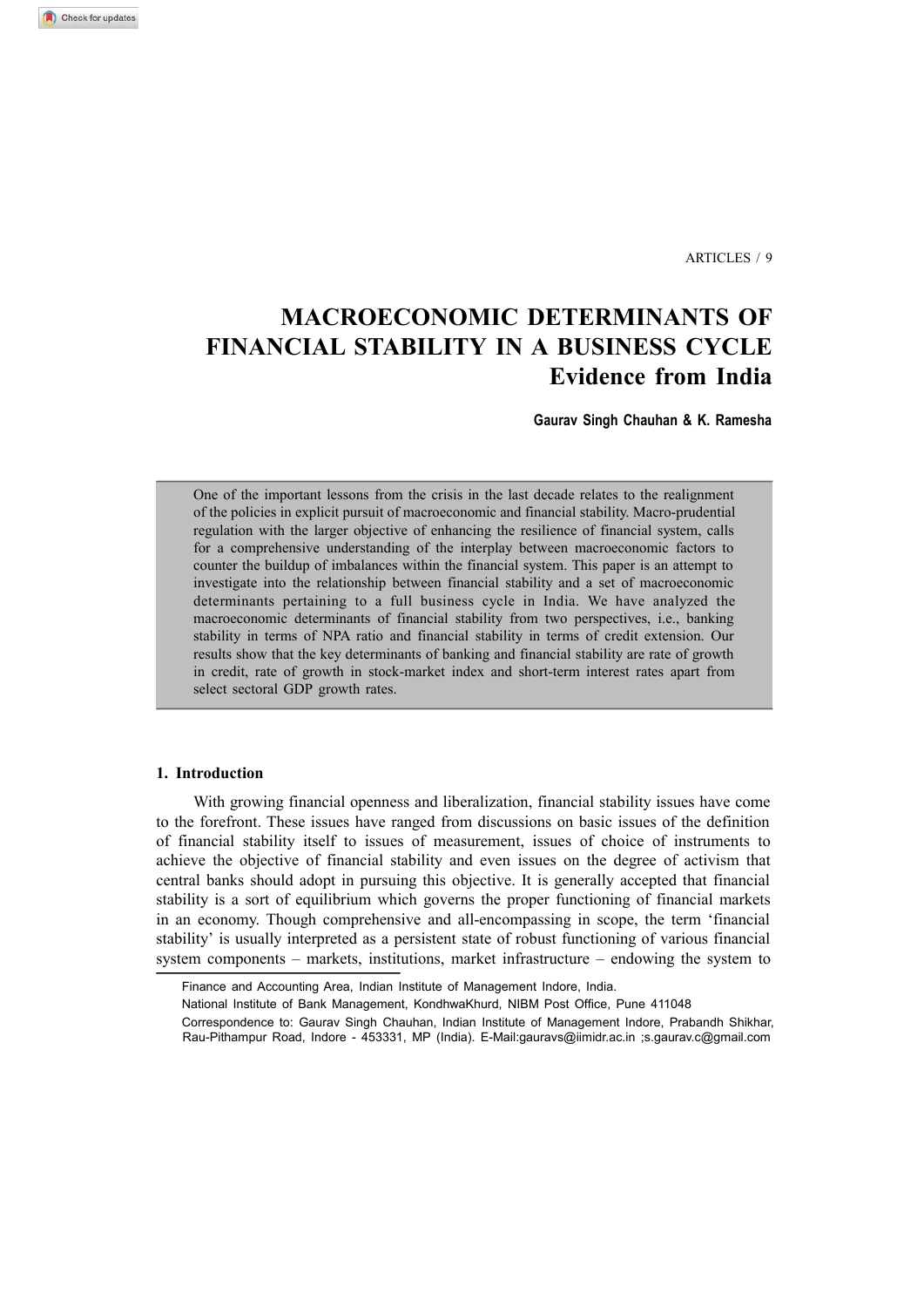ARTICLES / 9

# **MACROECONOMIC DETERMINANTS OF FINANCIAL STABILITY IN A BUSINESS CYCLE Evidence from India**

**Gaurav Singh Chauhan & K. Ramesha**

One of the important lessons from the crisis in the last decade relates to the realignment of the policies in explicit pursuit of macroeconomic and financial stability. Macro-prudential regulation with the larger objective of enhancing the resilience of financial system, calls for a comprehensive understanding of the interplay between macroeconomic factors to counter the buildup of imbalances within the financial system. This paper is an attempt to investigate into the relationship between financial stability and a set of macroeconomic determinants pertaining to a full business cycle in India. We have analyzed the macroeconomic determinants of financial stability from two perspectives, i.e., banking stability in terms of NPA ratio and financial stability in terms of credit extension. Our results show that the key determinants of banking and financial stability are rate of growth in credit, rate of growth in stock-market index and short-term interest rates apart from select sectoral GDP growth rates.

## **1. Introduction**

With growing financial openness and liberalization, financial stability issues have come to the forefront. These issues have ranged from discussions on basic issues of the definition of financial stability itself to issues of measurement, issues of choice of instruments to achieve the objective of financial stability and even issues on the degree of activism that central banks should adopt in pursuing this objective. It is generally accepted that financial stability is a sort of equilibrium which governs the proper functioning of financial markets in an economy. Though comprehensive and all-encompassing in scope, the term 'financial stability' is usually interpreted as a persistent state of robust functioning of various financial system components – markets, institutions, market infrastructure – endowing the system to

Finance and Accounting Area, Indian Institute of Management Indore, India.

National Institute of Bank Management, KondhwaKhurd, NIBM Post Office, Pune 411048

Correspondence to: Gaurav Singh Chauhan, Indian Institute of Management Indore, Prabandh Shikhar, Rau-Pithampur Road, Indore - 453331, MP (India). E-Mail:gauravs@iimidr.ac.in ;s.gaurav.c@gmail.com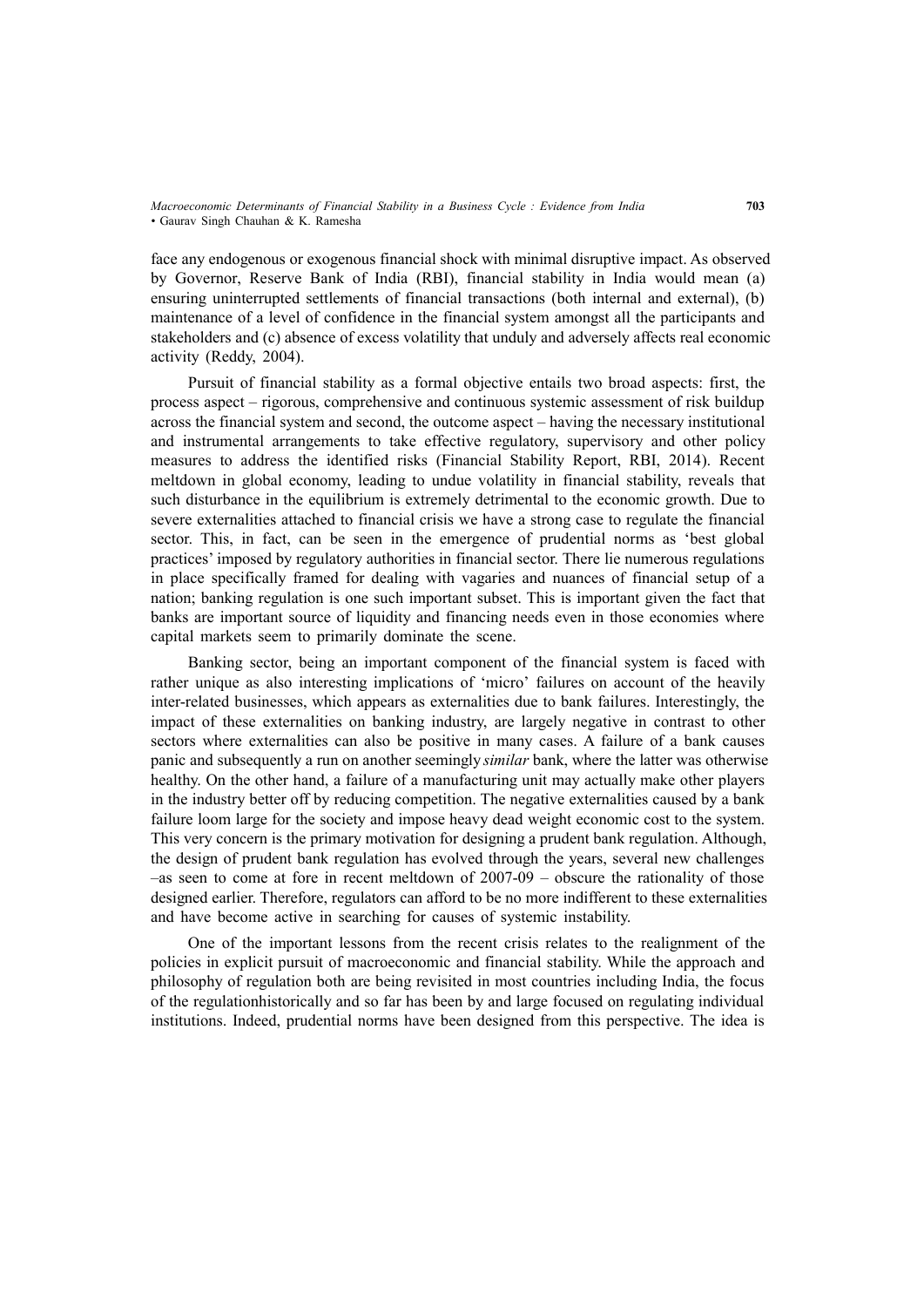face any endogenous or exogenous financial shock with minimal disruptive impact. As observed by Governor, Reserve Bank of India (RBI), financial stability in India would mean (a) ensuring uninterrupted settlements of financial transactions (both internal and external), (b) maintenance of a level of confidence in the financial system amongst all the participants and stakeholders and (c) absence of excess volatility that unduly and adversely affects real economic activity (Reddy, 2004).

Pursuit of financial stability as a formal objective entails two broad aspects: first, the process aspect – rigorous, comprehensive and continuous systemic assessment of risk buildup across the financial system and second, the outcome aspect – having the necessary institutional and instrumental arrangements to take effective regulatory, supervisory and other policy measures to address the identified risks (Financial Stability Report, RBI, 2014). Recent meltdown in global economy, leading to undue volatility in financial stability, reveals that such disturbance in the equilibrium is extremely detrimental to the economic growth. Due to severe externalities attached to financial crisis we have a strong case to regulate the financial sector. This, in fact, can be seen in the emergence of prudential norms as 'best global practices' imposed by regulatory authorities in financial sector. There lie numerous regulations in place specifically framed for dealing with vagaries and nuances of financial setup of a nation; banking regulation is one such important subset. This is important given the fact that banks are important source of liquidity and financing needs even in those economies where capital markets seem to primarily dominate the scene.

Banking sector, being an important component of the financial system is faced with rather unique as also interesting implications of 'micro' failures on account of the heavily inter-related businesses, which appears as externalities due to bank failures. Interestingly, the impact of these externalities on banking industry, are largely negative in contrast to other sectors where externalities can also be positive in many cases. A failure of a bank causes panic and subsequently a run on another seemingly *similar* bank, where the latter was otherwise healthy. On the other hand, a failure of a manufacturing unit may actually make other players in the industry better off by reducing competition. The negative externalities caused by a bank failure loom large for the society and impose heavy dead weight economic cost to the system. This very concern is the primary motivation for designing a prudent bank regulation. Although, the design of prudent bank regulation has evolved through the years, several new challenges –as seen to come at fore in recent meltdown of 2007-09 – obscure the rationality of those designed earlier. Therefore, regulators can afford to be no more indifferent to these externalities and have become active in searching for causes of systemic instability.

One of the important lessons from the recent crisis relates to the realignment of the policies in explicit pursuit of macroeconomic and financial stability. While the approach and philosophy of regulation both are being revisited in most countries including India, the focus of the regulationhistorically and so far has been by and large focused on regulating individual institutions. Indeed, prudential norms have been designed from this perspective. The idea is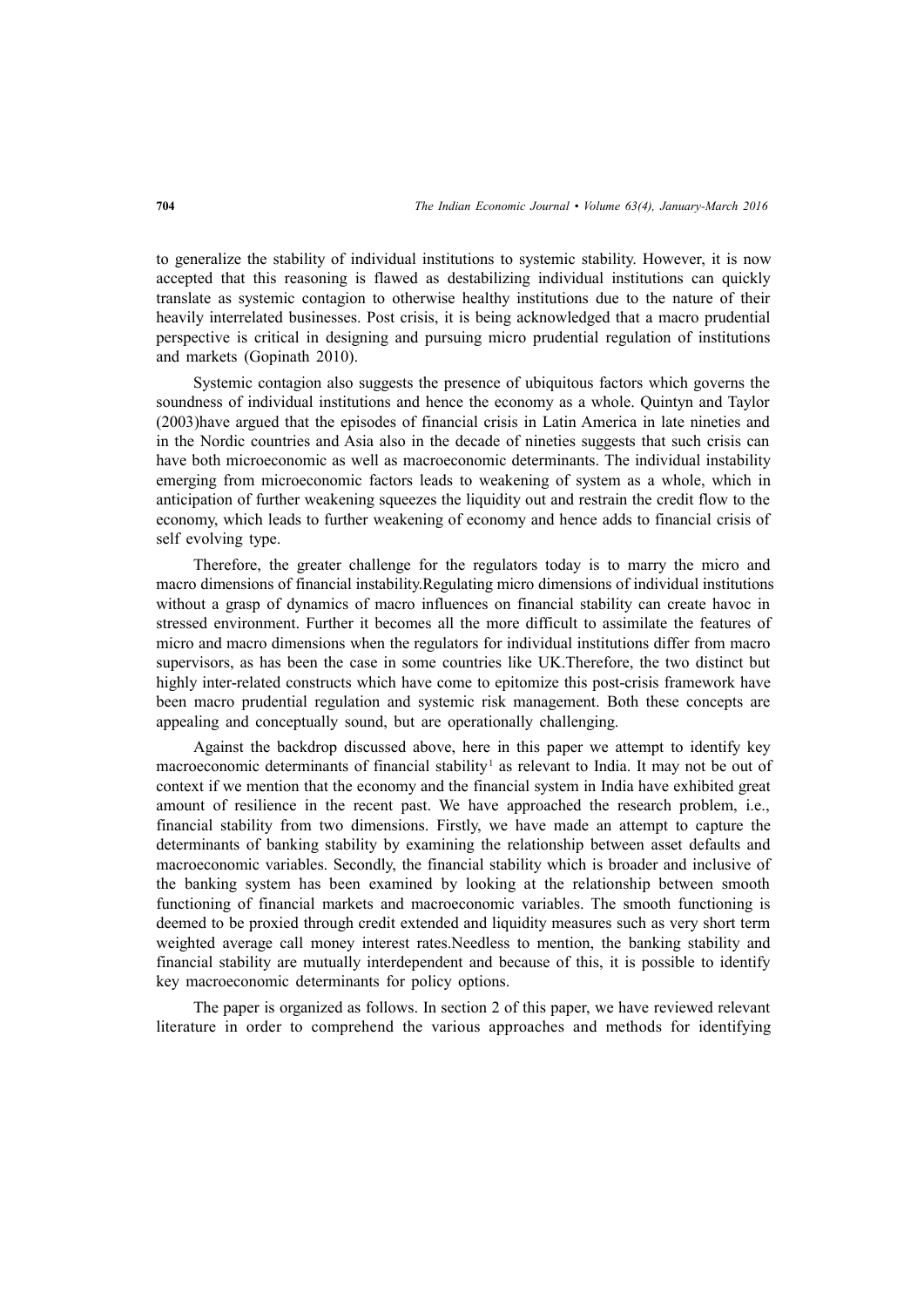to generalize the stability of individual institutions to systemic stability. However, it is now accepted that this reasoning is flawed as destabilizing individual institutions can quickly translate as systemic contagion to otherwise healthy institutions due to the nature of their heavily interrelated businesses. Post crisis, it is being acknowledged that a macro prudential perspective is critical in designing and pursuing micro prudential regulation of institutions and markets (Gopinath 2010).

Systemic contagion also suggests the presence of ubiquitous factors which governs the soundness of individual institutions and hence the economy as a whole. Quintyn and Taylor (2003)have argued that the episodes of financial crisis in Latin America in late nineties and in the Nordic countries and Asia also in the decade of nineties suggests that such crisis can have both microeconomic as well as macroeconomic determinants. The individual instability emerging from microeconomic factors leads to weakening of system as a whole, which in anticipation of further weakening squeezes the liquidity out and restrain the credit flow to the economy, which leads to further weakening of economy and hence adds to financial crisis of self evolving type.

Therefore, the greater challenge for the regulators today is to marry the micro and macro dimensions of financial instability.Regulating micro dimensions of individual institutions without a grasp of dynamics of macro influences on financial stability can create havoc in stressed environment. Further it becomes all the more difficult to assimilate the features of micro and macro dimensions when the regulators for individual institutions differ from macro supervisors, as has been the case in some countries like UK.Therefore, the two distinct but highly inter-related constructs which have come to epitomize this post-crisis framework have been macro prudential regulation and systemic risk management. Both these concepts are appealing and conceptually sound, but are operationally challenging.

Against the backdrop discussed above, here in this paper we attempt to identify key macroeconomic determinants of financial stability<sup>1</sup> as relevant to India. It may not be out of context if we mention that the economy and the financial system in India have exhibited great amount of resilience in the recent past. We have approached the research problem, i.e., financial stability from two dimensions. Firstly, we have made an attempt to capture the determinants of banking stability by examining the relationship between asset defaults and macroeconomic variables. Secondly, the financial stability which is broader and inclusive of the banking system has been examined by looking at the relationship between smooth functioning of financial markets and macroeconomic variables. The smooth functioning is deemed to be proxied through credit extended and liquidity measures such as very short term weighted average call money interest rates.Needless to mention, the banking stability and financial stability are mutually interdependent and because of this, it is possible to identify key macroeconomic determinants for policy options.

The paper is organized as follows. In section 2 of this paper, we have reviewed relevant literature in order to comprehend the various approaches and methods for identifying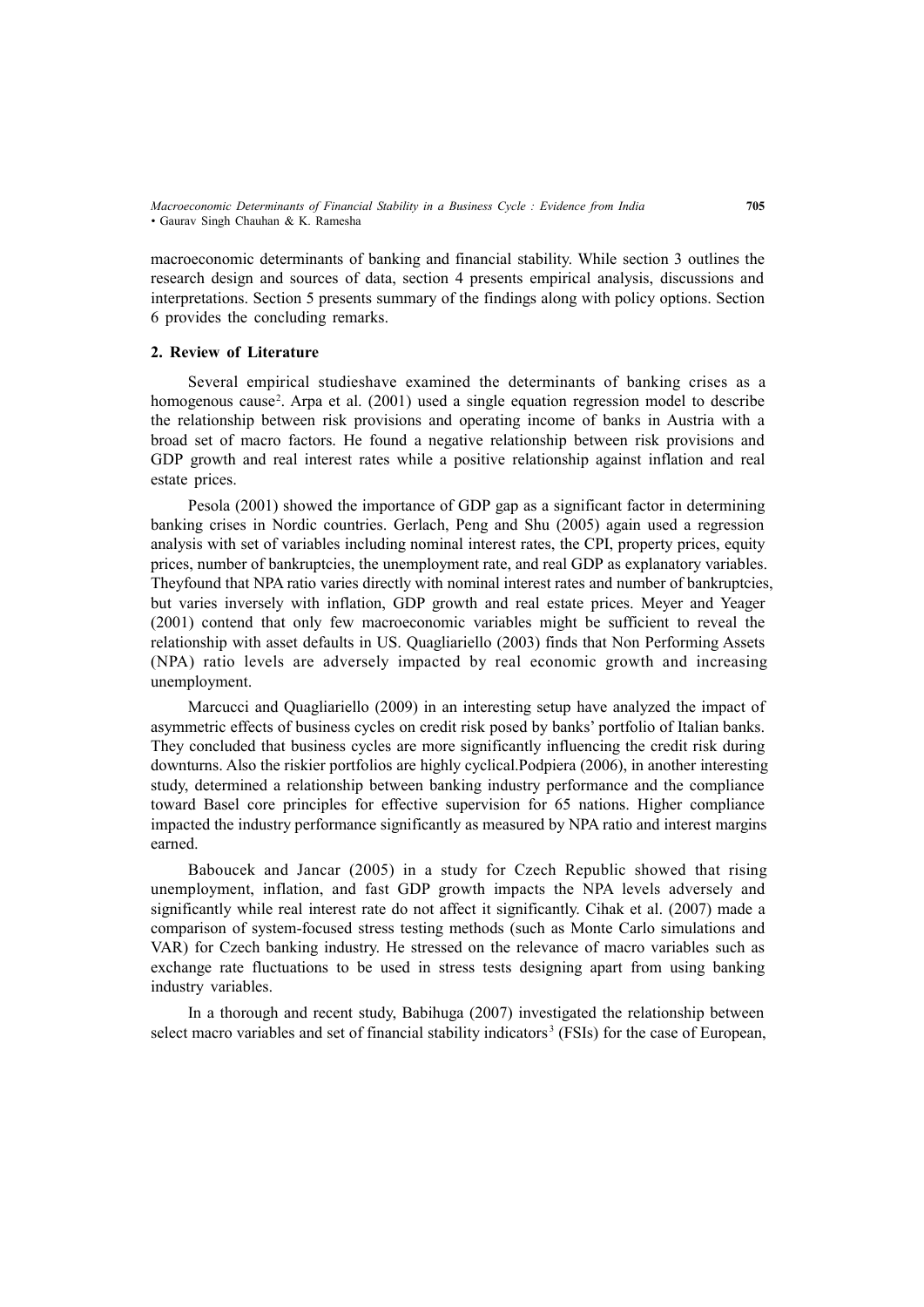macroeconomic determinants of banking and financial stability. While section 3 outlines the research design and sources of data, section 4 presents empirical analysis, discussions and interpretations. Section 5 presents summary of the findings along with policy options. Section 6 provides the concluding remarks.

## **2. Review of Literature**

Several empirical studieshave examined the determinants of banking crises as a homogenous cause<sup>2</sup>. Arpa et al. (2001) used a single equation regression model to describe the relationship between risk provisions and operating income of banks in Austria with a broad set of macro factors. He found a negative relationship between risk provisions and GDP growth and real interest rates while a positive relationship against inflation and real estate prices.

Pesola (2001) showed the importance of GDP gap as a significant factor in determining banking crises in Nordic countries. Gerlach, Peng and Shu (2005) again used a regression analysis with set of variables including nominal interest rates, the CPI, property prices, equity prices, number of bankruptcies, the unemployment rate, and real GDP as explanatory variables. Theyfound that NPA ratio varies directly with nominal interest rates and number of bankruptcies, but varies inversely with inflation, GDP growth and real estate prices. Meyer and Yeager (2001) contend that only few macroeconomic variables might be sufficient to reveal the relationship with asset defaults in US. Quagliariello (2003) finds that Non Performing Assets (NPA) ratio levels are adversely impacted by real economic growth and increasing unemployment.

Marcucci and Quagliariello (2009) in an interesting setup have analyzed the impact of asymmetric effects of business cycles on credit risk posed by banks' portfolio of Italian banks. They concluded that business cycles are more significantly influencing the credit risk during downturns. Also the riskier portfolios are highly cyclical.Podpiera (2006), in another interesting study, determined a relationship between banking industry performance and the compliance toward Basel core principles for effective supervision for 65 nations. Higher compliance impacted the industry performance significantly as measured by NPA ratio and interest margins earned.

Baboucek and Jancar (2005) in a study for Czech Republic showed that rising unemployment, inflation, and fast GDP growth impacts the NPA levels adversely and significantly while real interest rate do not affect it significantly. Cihak et al. (2007) made a comparison of system-focused stress testing methods (such as Monte Carlo simulations and VAR) for Czech banking industry. He stressed on the relevance of macro variables such as exchange rate fluctuations to be used in stress tests designing apart from using banking industry variables.

In a thorough and recent study, Babihuga (2007) investigated the relationship between select macro variables and set of financial stability indicators<sup>3</sup> (FSIs) for the case of European,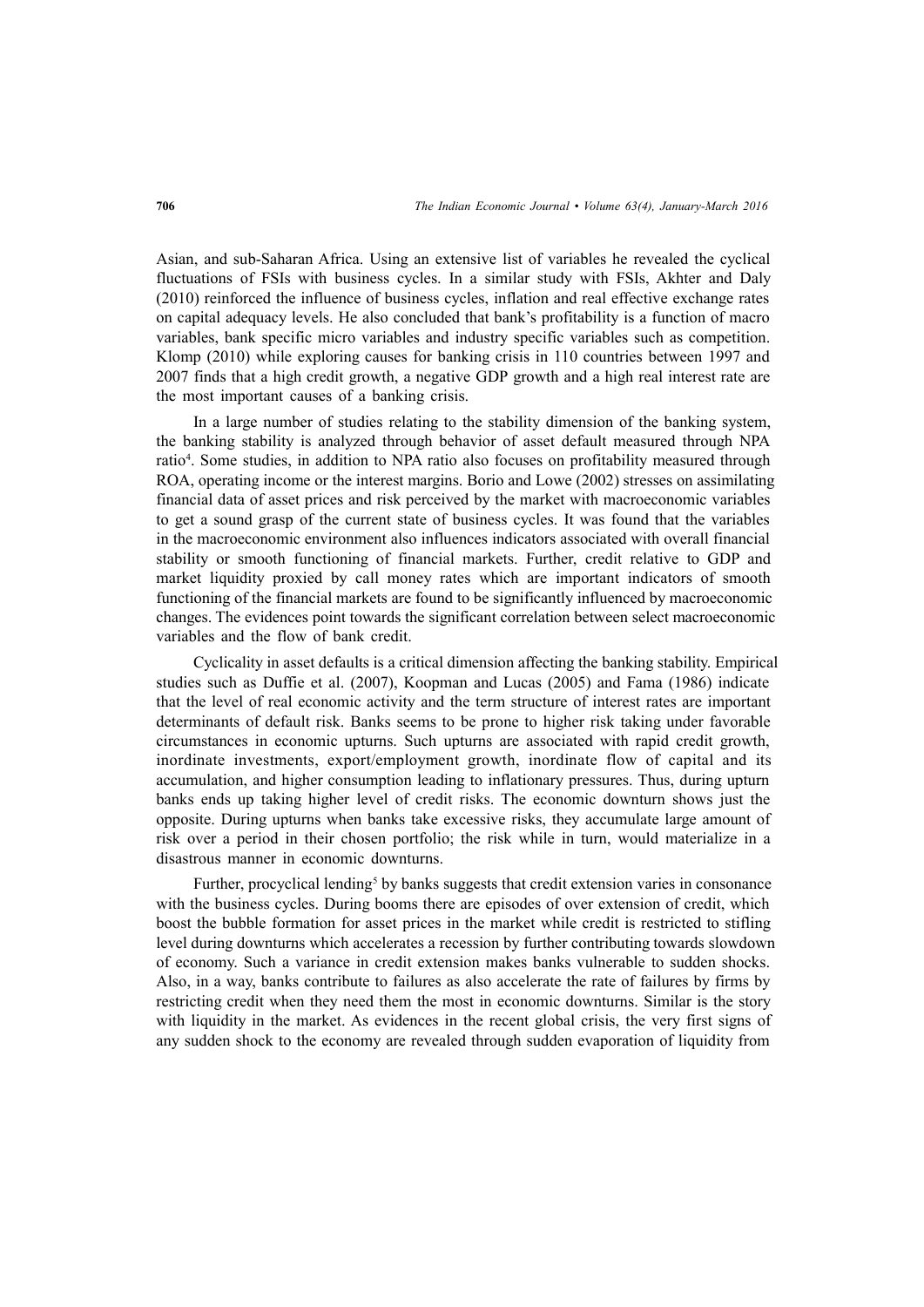Asian, and sub-Saharan Africa. Using an extensive list of variables he revealed the cyclical fluctuations of FSIs with business cycles. In a similar study with FSIs, Akhter and Daly (2010) reinforced the influence of business cycles, inflation and real effective exchange rates on capital adequacy levels. He also concluded that bank's profitability is a function of macro variables, bank specific micro variables and industry specific variables such as competition. Klomp (2010) while exploring causes for banking crisis in 110 countries between 1997 and 2007 finds that a high credit growth, a negative GDP growth and a high real interest rate are the most important causes of a banking crisis.

In a large number of studies relating to the stability dimension of the banking system, the banking stability is analyzed through behavior of asset default measured through NPA ratio<sup>4</sup> . Some studies, in addition to NPA ratio also focuses on profitability measured through ROA, operating income or the interest margins. Borio and Lowe (2002) stresses on assimilating financial data of asset prices and risk perceived by the market with macroeconomic variables to get a sound grasp of the current state of business cycles. It was found that the variables in the macroeconomic environment also influences indicators associated with overall financial stability or smooth functioning of financial markets. Further, credit relative to GDP and market liquidity proxied by call money rates which are important indicators of smooth functioning of the financial markets are found to be significantly influenced by macroeconomic changes. The evidences point towards the significant correlation between select macroeconomic variables and the flow of bank credit.

Cyclicality in asset defaults is a critical dimension affecting the banking stability. Empirical studies such as Duffie et al. (2007), Koopman and Lucas (2005) and Fama (1986) indicate that the level of real economic activity and the term structure of interest rates are important determinants of default risk. Banks seems to be prone to higher risk taking under favorable circumstances in economic upturns. Such upturns are associated with rapid credit growth, inordinate investments, export/employment growth, inordinate flow of capital and its accumulation, and higher consumption leading to inflationary pressures. Thus, during upturn banks ends up taking higher level of credit risks. The economic downturn shows just the opposite. During upturns when banks take excessive risks, they accumulate large amount of risk over a period in their chosen portfolio; the risk while in turn, would materialize in a disastrous manner in economic downturns.

Further, procyclical lending<sup>5</sup> by banks suggests that credit extension varies in consonance with the business cycles. During booms there are episodes of over extension of credit, which boost the bubble formation for asset prices in the market while credit is restricted to stifling level during downturns which accelerates a recession by further contributing towards slowdown of economy. Such a variance in credit extension makes banks vulnerable to sudden shocks. Also, in a way, banks contribute to failures as also accelerate the rate of failures by firms by restricting credit when they need them the most in economic downturns. Similar is the story with liquidity in the market. As evidences in the recent global crisis, the very first signs of any sudden shock to the economy are revealed through sudden evaporation of liquidity from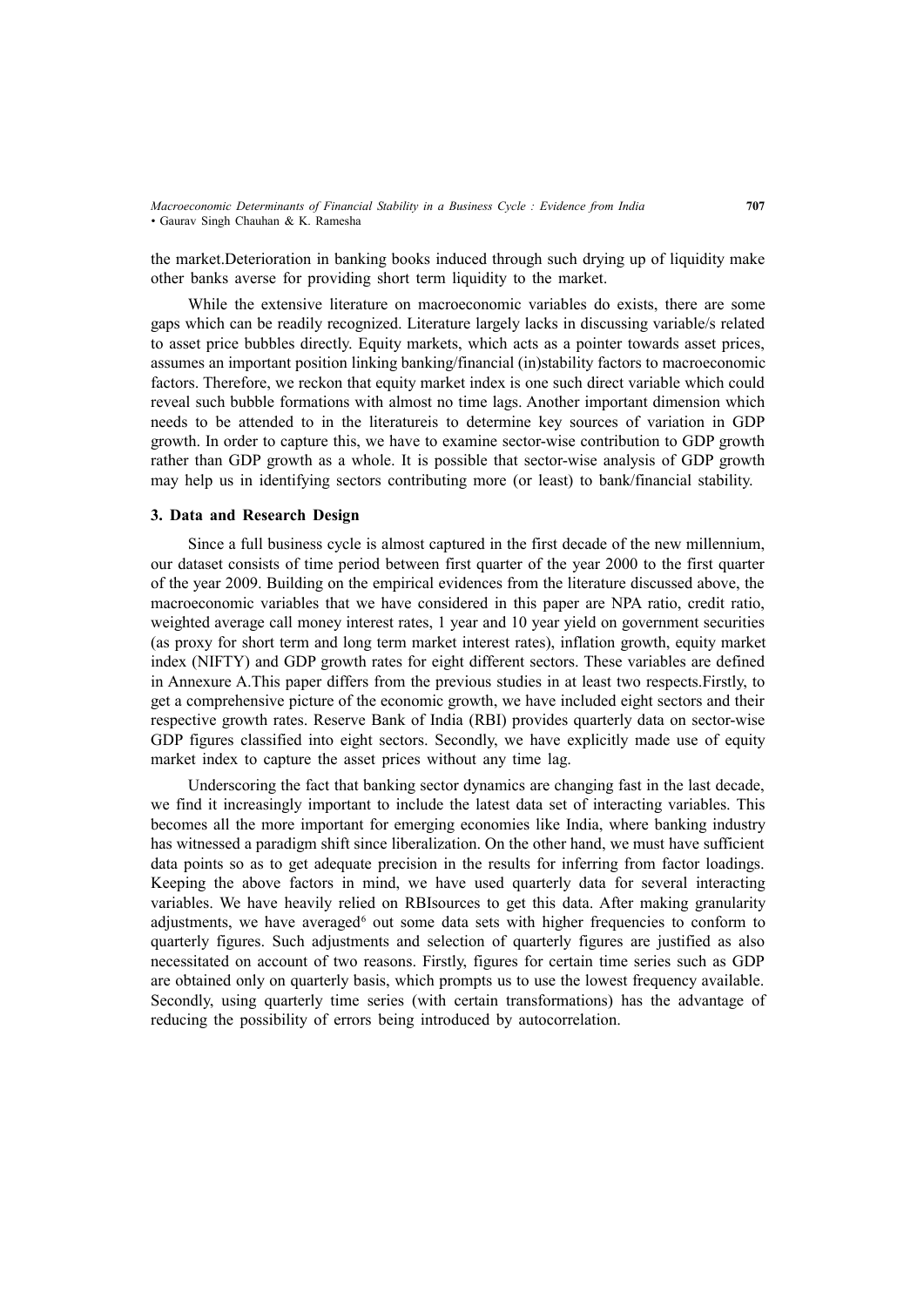the market.Deterioration in banking books induced through such drying up of liquidity make other banks averse for providing short term liquidity to the market.

While the extensive literature on macroeconomic variables do exists, there are some gaps which can be readily recognized. Literature largely lacks in discussing variable/s related to asset price bubbles directly. Equity markets, which acts as a pointer towards asset prices, assumes an important position linking banking/financial (in)stability factors to macroeconomic factors. Therefore, we reckon that equity market index is one such direct variable which could reveal such bubble formations with almost no time lags. Another important dimension which needs to be attended to in the literatureis to determine key sources of variation in GDP growth. In order to capture this, we have to examine sector-wise contribution to GDP growth rather than GDP growth as a whole. It is possible that sector-wise analysis of GDP growth may help us in identifying sectors contributing more (or least) to bank/financial stability.

## **3. Data and Research Design**

Since a full business cycle is almost captured in the first decade of the new millennium, our dataset consists of time period between first quarter of the year 2000 to the first quarter of the year 2009. Building on the empirical evidences from the literature discussed above, the macroeconomic variables that we have considered in this paper are NPA ratio, credit ratio, weighted average call money interest rates, 1 year and 10 year yield on government securities (as proxy for short term and long term market interest rates), inflation growth, equity market index (NIFTY) and GDP growth rates for eight different sectors. These variables are defined in Annexure A.This paper differs from the previous studies in at least two respects.Firstly, to get a comprehensive picture of the economic growth, we have included eight sectors and their respective growth rates. Reserve Bank of India (RBI) provides quarterly data on sector-wise GDP figures classified into eight sectors. Secondly, we have explicitly made use of equity market index to capture the asset prices without any time lag.

Underscoring the fact that banking sector dynamics are changing fast in the last decade, we find it increasingly important to include the latest data set of interacting variables. This becomes all the more important for emerging economies like India, where banking industry has witnessed a paradigm shift since liberalization. On the other hand, we must have sufficient data points so as to get adequate precision in the results for inferring from factor loadings. Keeping the above factors in mind, we have used quarterly data for several interacting variables. We have heavily relied on RBIsources to get this data. After making granularity adjustments, we have averaged<sup>6</sup> out some data sets with higher frequencies to conform to quarterly figures. Such adjustments and selection of quarterly figures are justified as also necessitated on account of two reasons. Firstly, figures for certain time series such as GDP are obtained only on quarterly basis, which prompts us to use the lowest frequency available. Secondly, using quarterly time series (with certain transformations) has the advantage of reducing the possibility of errors being introduced by autocorrelation.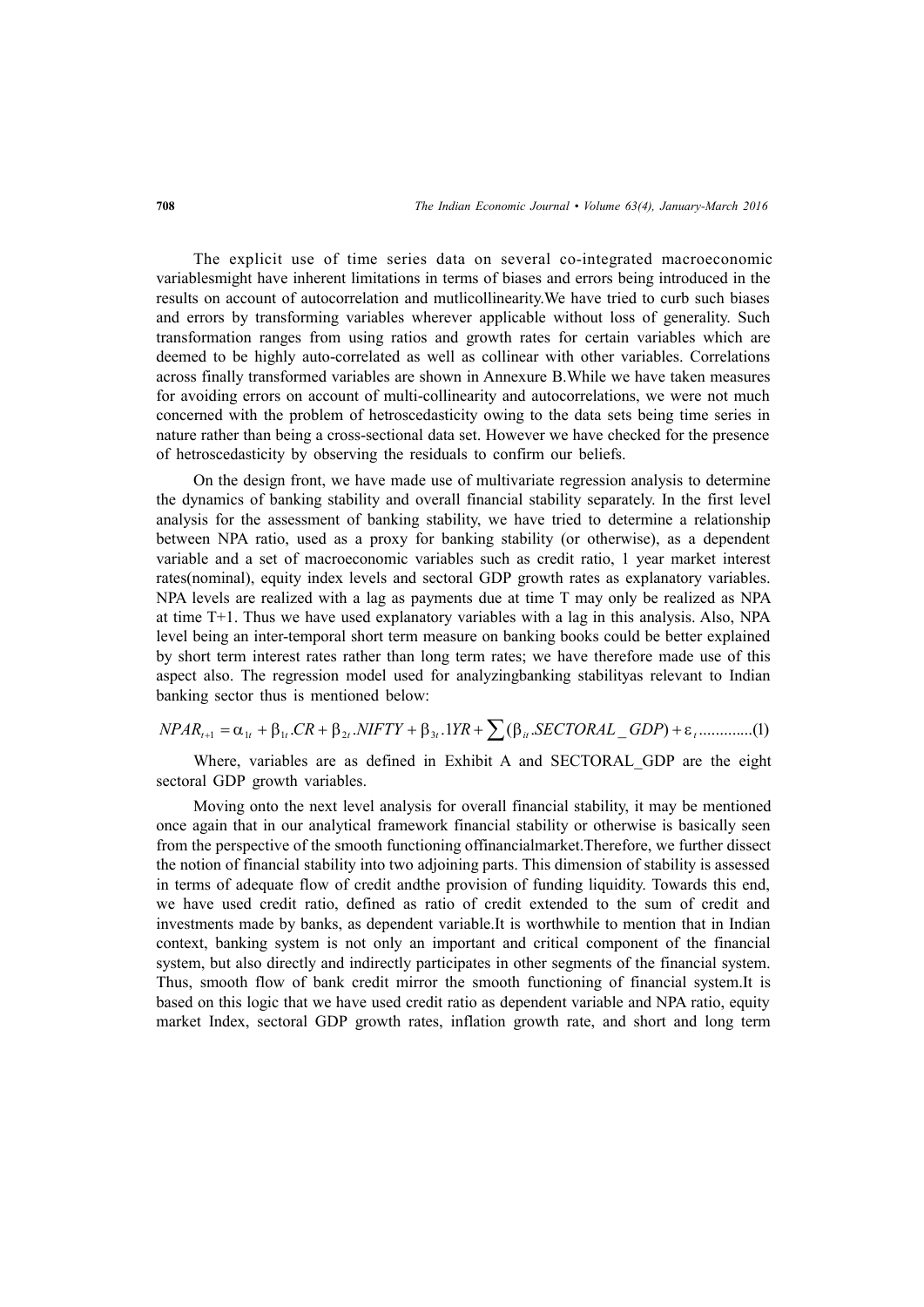The explicit use of time series data on several co-integrated macroeconomic variablesmight have inherent limitations in terms of biases and errors being introduced in the results on account of autocorrelation and mutlicollinearity.We have tried to curb such biases and errors by transforming variables wherever applicable without loss of generality. Such transformation ranges from using ratios and growth rates for certain variables which are deemed to be highly auto-correlated as well as collinear with other variables. Correlations across finally transformed variables are shown in Annexure B.While we have taken measures for avoiding errors on account of multi-collinearity and autocorrelations, we were not much concerned with the problem of hetroscedasticity owing to the data sets being time series in nature rather than being a cross-sectional data set. However we have checked for the presence of hetroscedasticity by observing the residuals to confirm our beliefs.

On the design front, we have made use of multivariate regression analysis to determine the dynamics of banking stability and overall financial stability separately. In the first level analysis for the assessment of banking stability, we have tried to determine a relationship between NPA ratio, used as a proxy for banking stability (or otherwise), as a dependent variable and a set of macroeconomic variables such as credit ratio, 1 year market interest rates(nominal), equity index levels and sectoral GDP growth rates as explanatory variables. NPA levels are realized with a lag as payments due at time T may only be realized as NPA at time T+1. Thus we have used explanatory variables with a lag in this analysis. Also, NPA level being an inter-temporal short term measure on banking books could be better explained by short term interest rates rather than long term rates; we have therefore made use of this aspect also. The regression model used for analyzingbanking stabilityas relevant to Indian banking sector thus is mentioned below:

$$
NPAR_{t+1} = \alpha_{1t} + \beta_{1t}.CR + \beta_{2t}.NIFTY + \beta_{3t}.1YR + \sum (\beta_{it}.SECTIONAL\_GDP) + \varepsilon_{t}............(1)
$$

Where, variables are as defined in Exhibit A and SECTORAL GDP are the eight sectoral GDP growth variables.

Moving onto the next level analysis for overall financial stability, it may be mentioned once again that in our analytical framework financial stability or otherwise is basically seen from the perspective of the smooth functioning offinancialmarket.Therefore, we further dissect the notion of financial stability into two adjoining parts. This dimension of stability is assessed in terms of adequate flow of credit andthe provision of funding liquidity. Towards this end, we have used credit ratio, defined as ratio of credit extended to the sum of credit and investments made by banks, as dependent variable.It is worthwhile to mention that in Indian context, banking system is not only an important and critical component of the financial system, but also directly and indirectly participates in other segments of the financial system. Thus, smooth flow of bank credit mirror the smooth functioning of financial system.It is based on this logic that we have used credit ratio as dependent variable and NPA ratio, equity market Index, sectoral GDP growth rates, inflation growth rate, and short and long term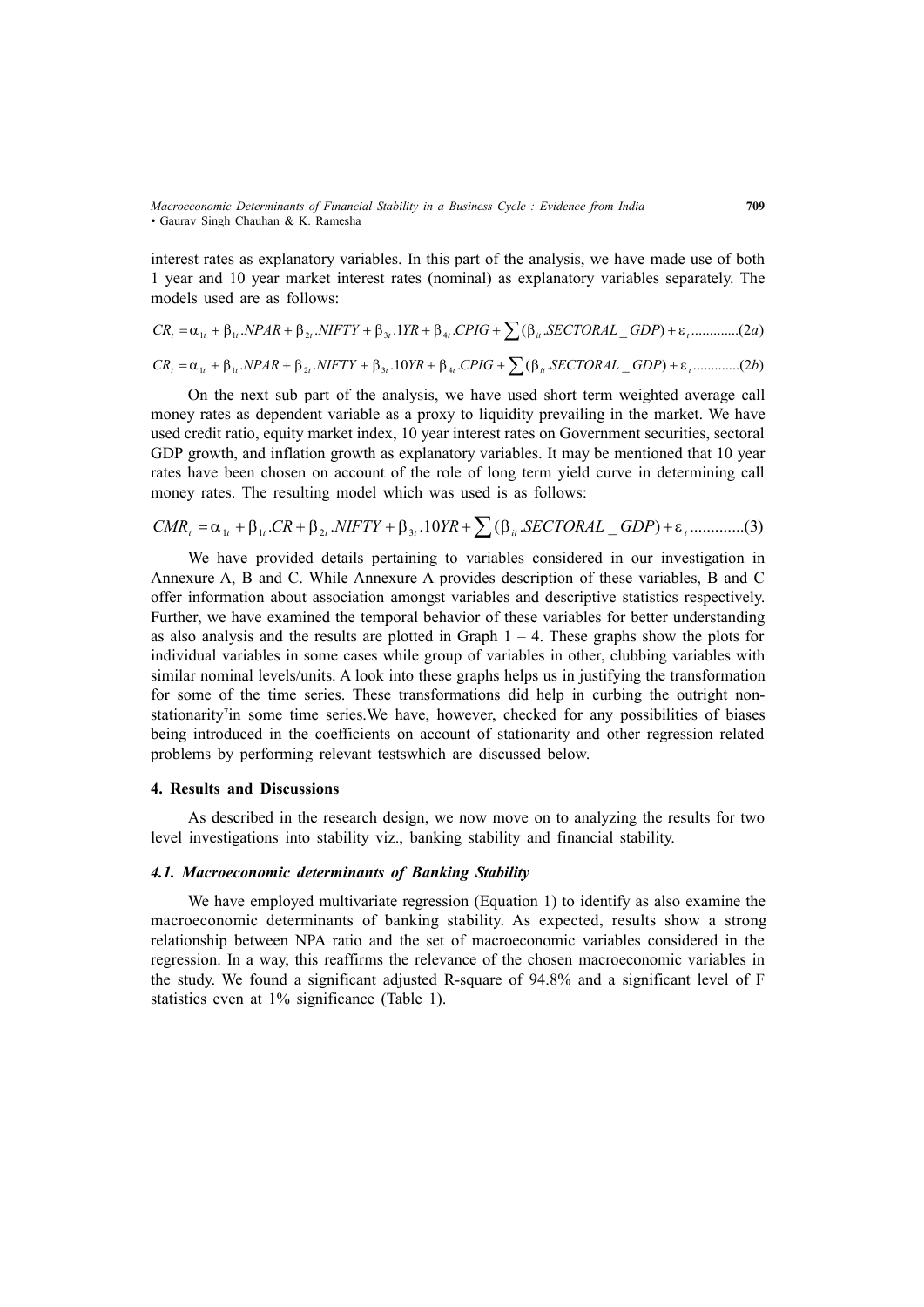interest rates as explanatory variables. In this part of the analysis, we have made use of both 1 year and 10 year market interest rates (nominal) as explanatory variables separately. The models used are as follows:

$$
CR_{t} = \alpha_{1t} + \beta_{1t} .NPAR + \beta_{2t} .NIFTY + \beta_{3t} .1YR + \beta_{4t} .CPIG + \sum (\beta_{it} .SECTIONAL\_GDP) + \varepsilon_{t} . . . . . . . . . . (2a)
$$

$$
CR_{\iota} = \alpha_{\iota\iota} + \beta_{\iota\iota} .NPAR + \beta_{\iota\iota} .NIFTY + \beta_{\iota\iota} .10YR + \beta_{\iota\iota} .CPIG + \sum (\beta_{\iota\iota} .SECTIONAL\_GDP) + \epsilon_{\iota} . . . . . . . . . (2b)
$$

On the next sub part of the analysis, we have used short term weighted average call money rates as dependent variable as a proxy to liquidity prevailing in the market. We have used credit ratio, equity market index, 10 year interest rates on Government securities, sectoral GDP growth, and inflation growth as explanatory variables. It may be mentioned that 10 year rates have been chosen on account of the role of long term yield curve in determining call money rates. The resulting model which was used is as follows:

$$
CMR_t = \alpha_{1t} + \beta_{1t}.CR + \beta_{2t}.NIFTY + \beta_{3t}.10YR + \sum (\beta_{it}.SECTIONAL\_GDP) + \varepsilon_t. \dots \dots \dots \dots (3)
$$

We have provided details pertaining to variables considered in our investigation in Annexure A, B and C. While Annexure A provides description of these variables, B and C offer information about association amongst variables and descriptive statistics respectively. Further, we have examined the temporal behavior of these variables for better understanding as also analysis and the results are plotted in Graph  $1 - 4$ . These graphs show the plots for individual variables in some cases while group of variables in other, clubbing variables with similar nominal levels/units. A look into these graphs helps us in justifying the transformation for some of the time series. These transformations did help in curbing the outright nonstationarity<sup>7</sup>in some time series. We have, however, checked for any possibilities of biases being introduced in the coefficients on account of stationarity and other regression related problems by performing relevant testswhich are discussed below.

## **4. Results and Discussions**

As described in the research design, we now move on to analyzing the results for two level investigations into stability viz., banking stability and financial stability.

### *4.1. Macroeconomic determinants of Banking Stability*

We have employed multivariate regression (Equation 1) to identify as also examine the macroeconomic determinants of banking stability. As expected, results show a strong relationship between NPA ratio and the set of macroeconomic variables considered in the regression. In a way, this reaffirms the relevance of the chosen macroeconomic variables in the study. We found a significant adjusted R-square of 94.8% and a significant level of F statistics even at 1% significance (Table 1).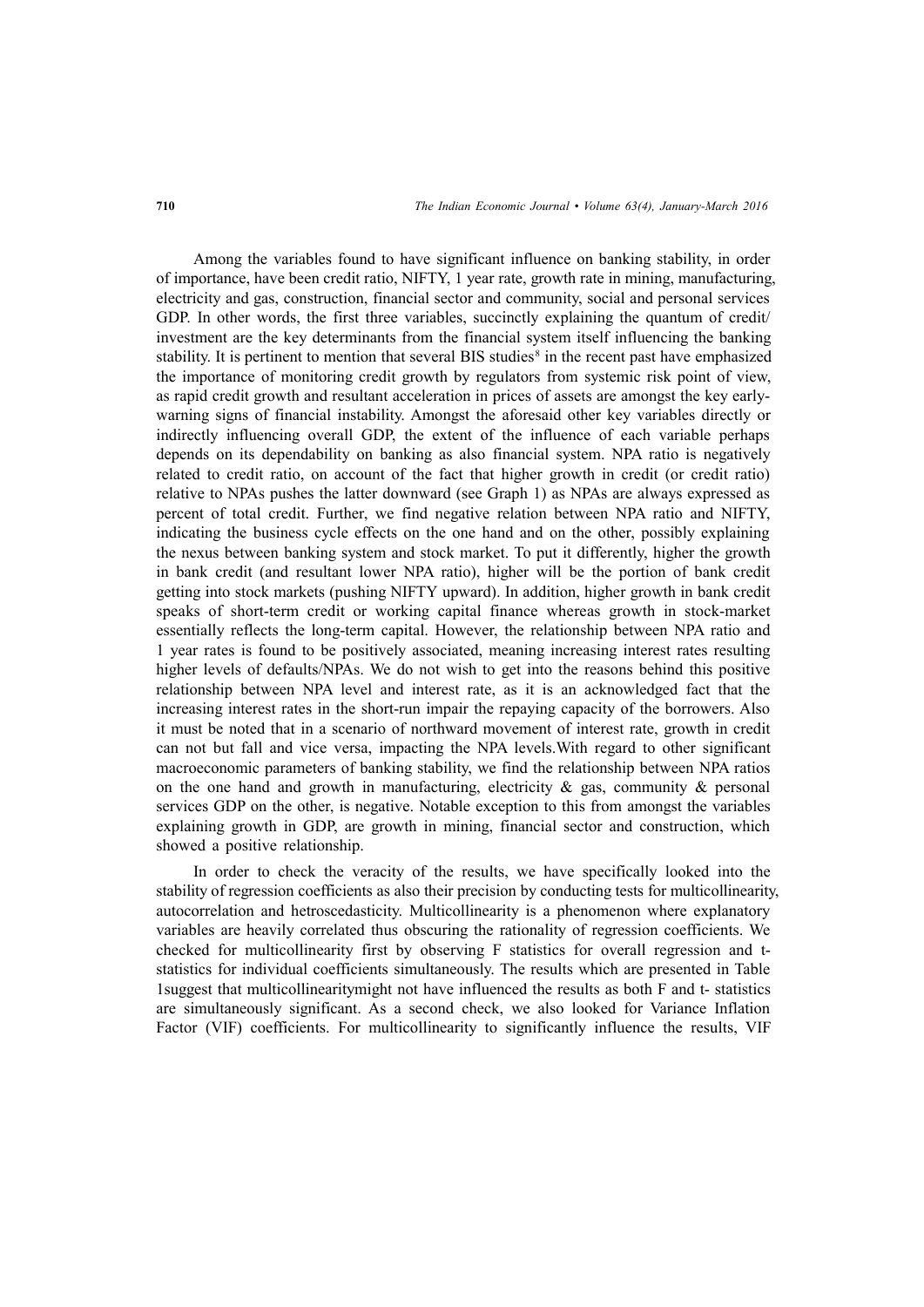Among the variables found to have significant influence on banking stability, in order of importance, have been credit ratio, NIFTY, 1 year rate, growth rate in mining, manufacturing, electricity and gas, construction, financial sector and community, social and personal services GDP. In other words, the first three variables, succinctly explaining the quantum of credit/ investment are the key determinants from the financial system itself influencing the banking stability. It is pertinent to mention that several BIS studies<sup>8</sup> in the recent past have emphasized the importance of monitoring credit growth by regulators from systemic risk point of view, as rapid credit growth and resultant acceleration in prices of assets are amongst the key earlywarning signs of financial instability. Amongst the aforesaid other key variables directly or indirectly influencing overall GDP, the extent of the influence of each variable perhaps depends on its dependability on banking as also financial system. NPA ratio is negatively related to credit ratio, on account of the fact that higher growth in credit (or credit ratio) relative to NPAs pushes the latter downward (see Graph 1) as NPAs are always expressed as percent of total credit. Further, we find negative relation between NPA ratio and NIFTY, indicating the business cycle effects on the one hand and on the other, possibly explaining the nexus between banking system and stock market. To put it differently, higher the growth in bank credit (and resultant lower NPA ratio), higher will be the portion of bank credit getting into stock markets (pushing NIFTY upward). In addition, higher growth in bank credit speaks of short-term credit or working capital finance whereas growth in stock-market essentially reflects the long-term capital. However, the relationship between NPA ratio and 1 year rates is found to be positively associated, meaning increasing interest rates resulting higher levels of defaults/NPAs. We do not wish to get into the reasons behind this positive relationship between NPA level and interest rate, as it is an acknowledged fact that the increasing interest rates in the short-run impair the repaying capacity of the borrowers. Also it must be noted that in a scenario of northward movement of interest rate, growth in credit can not but fall and vice versa, impacting the NPA levels.With regard to other significant macroeconomic parameters of banking stability, we find the relationship between NPA ratios on the one hand and growth in manufacturing, electricity  $\&$  gas, community  $\&$  personal services GDP on the other, is negative. Notable exception to this from amongst the variables explaining growth in GDP, are growth in mining, financial sector and construction, which showed a positive relationship.

In order to check the veracity of the results, we have specifically looked into the stability of regression coefficients as also their precision by conducting tests for multicollinearity, autocorrelation and hetroscedasticity. Multicollinearity is a phenomenon where explanatory variables are heavily correlated thus obscuring the rationality of regression coefficients. We checked for multicollinearity first by observing F statistics for overall regression and tstatistics for individual coefficients simultaneously. The results which are presented in Table 1suggest that multicollinearitymight not have influenced the results as both F and t- statistics are simultaneously significant. As a second check, we also looked for Variance Inflation Factor (VIF) coefficients. For multicollinearity to significantly influence the results, VIF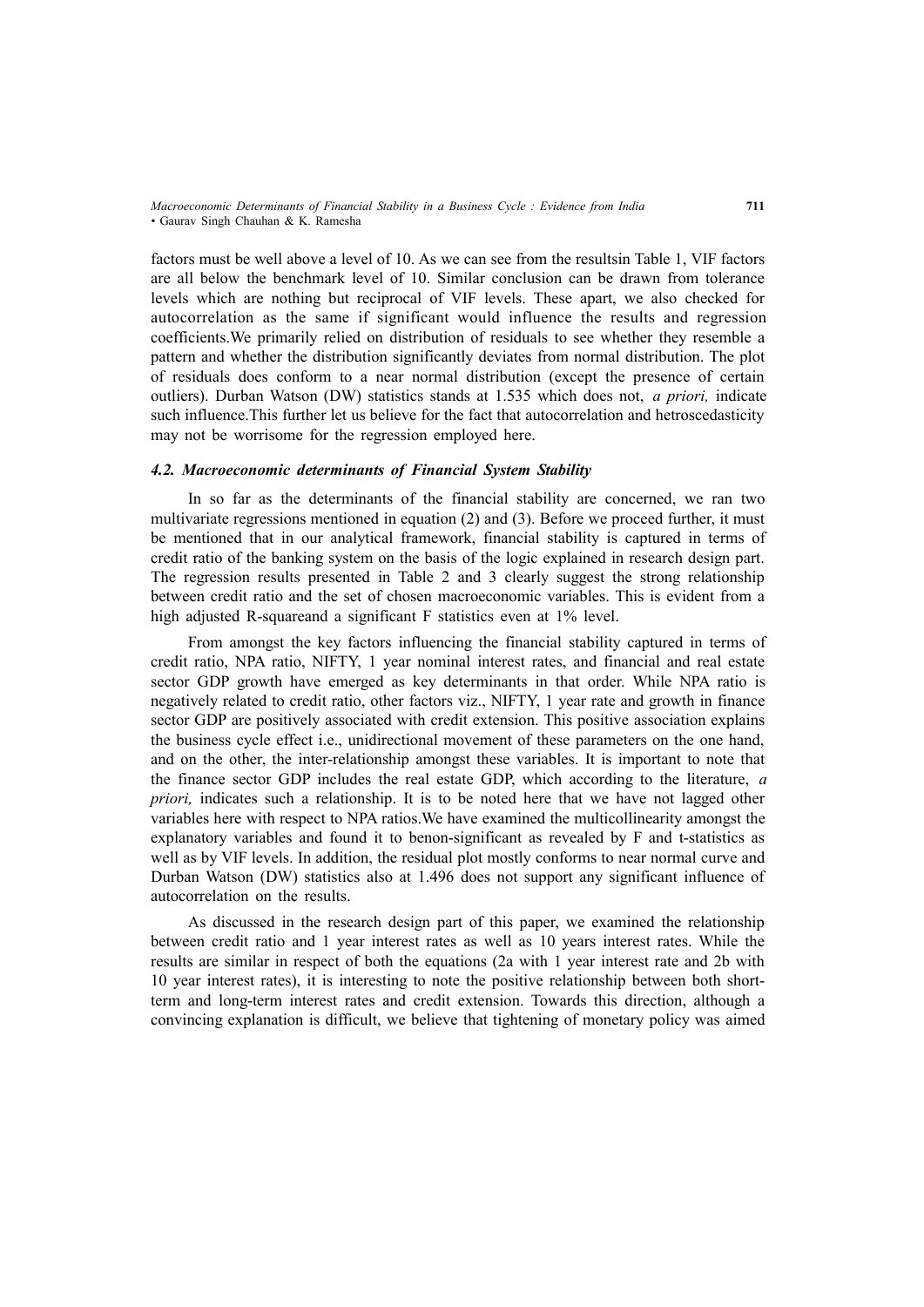*Macroeconomic Determinants of Financial Stability in a Business Cycle : Evidence from India* **711** *•* Gaurav Singh Chauhan & K. Ramesha

factors must be well above a level of 10. As we can see from the resultsin Table 1, VIF factors are all below the benchmark level of 10. Similar conclusion can be drawn from tolerance levels which are nothing but reciprocal of VIF levels. These apart, we also checked for autocorrelation as the same if significant would influence the results and regression coefficients.We primarily relied on distribution of residuals to see whether they resemble a pattern and whether the distribution significantly deviates from normal distribution. The plot of residuals does conform to a near normal distribution (except the presence of certain outliers). Durban Watson (DW) statistics stands at 1.535 which does not, *a priori,* indicate such influence.This further let us believe for the fact that autocorrelation and hetroscedasticity may not be worrisome for the regression employed here.

## *4.2. Macroeconomic determinants of Financial System Stability*

In so far as the determinants of the financial stability are concerned, we ran two multivariate regressions mentioned in equation  $(2)$  and  $(3)$ . Before we proceed further, it must be mentioned that in our analytical framework, financial stability is captured in terms of credit ratio of the banking system on the basis of the logic explained in research design part. The regression results presented in Table 2 and 3 clearly suggest the strong relationship between credit ratio and the set of chosen macroeconomic variables. This is evident from a high adjusted R-squareand a significant F statistics even at 1% level.

From amongst the key factors influencing the financial stability captured in terms of credit ratio, NPA ratio, NIFTY, 1 year nominal interest rates, and financial and real estate sector GDP growth have emerged as key determinants in that order. While NPA ratio is negatively related to credit ratio, other factors viz., NIFTY, 1 year rate and growth in finance sector GDP are positively associated with credit extension. This positive association explains the business cycle effect i.e., unidirectional movement of these parameters on the one hand, and on the other, the inter-relationship amongst these variables. It is important to note that the finance sector GDP includes the real estate GDP, which according to the literature, *a priori,* indicates such a relationship. It is to be noted here that we have not lagged other variables here with respect to NPA ratios.We have examined the multicollinearity amongst the explanatory variables and found it to benon-significant as revealed by F and t-statistics as well as by VIF levels. In addition, the residual plot mostly conforms to near normal curve and Durban Watson (DW) statistics also at 1.496 does not support any significant influence of autocorrelation on the results.

As discussed in the research design part of this paper, we examined the relationship between credit ratio and 1 year interest rates as well as 10 years interest rates. While the results are similar in respect of both the equations (2a with 1 year interest rate and 2b with 10 year interest rates), it is interesting to note the positive relationship between both shortterm and long-term interest rates and credit extension. Towards this direction, although a convincing explanation is difficult, we believe that tightening of monetary policy was aimed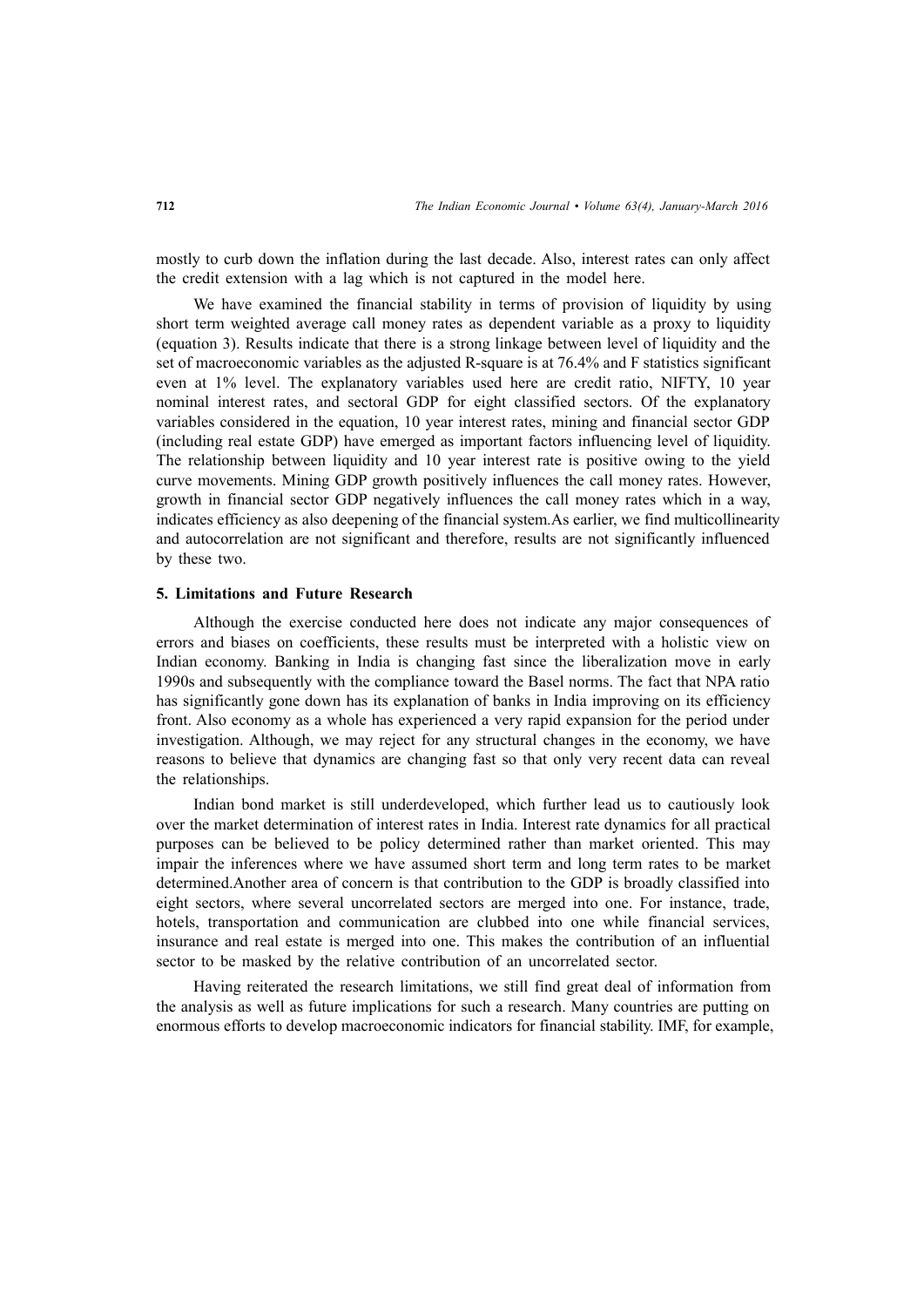mostly to curb down the inflation during the last decade. Also, interest rates can only affect the credit extension with a lag which is not captured in the model here.

We have examined the financial stability in terms of provision of liquidity by using short term weighted average call money rates as dependent variable as a proxy to liquidity (equation 3). Results indicate that there is a strong linkage between level of liquidity and the set of macroeconomic variables as the adjusted R-square is at 76.4% and F statistics significant even at 1% level. The explanatory variables used here are credit ratio, NIFTY, 10 year nominal interest rates, and sectoral GDP for eight classified sectors. Of the explanatory variables considered in the equation, 10 year interest rates, mining and financial sector GDP (including real estate GDP) have emerged as important factors influencing level of liquidity. The relationship between liquidity and 10 year interest rate is positive owing to the yield curve movements. Mining GDP growth positively influences the call money rates. However, growth in financial sector GDP negatively influences the call money rates which in a way, indicates efficiency as also deepening of the financial system.As earlier, we find multicollinearity and autocorrelation are not significant and therefore, results are not significantly influenced by these two.

#### **5. Limitations and Future Research**

Although the exercise conducted here does not indicate any major consequences of errors and biases on coefficients, these results must be interpreted with a holistic view on Indian economy. Banking in India is changing fast since the liberalization move in early 1990s and subsequently with the compliance toward the Basel norms. The fact that NPA ratio has significantly gone down has its explanation of banks in India improving on its efficiency front. Also economy as a whole has experienced a very rapid expansion for the period under investigation. Although, we may reject for any structural changes in the economy, we have reasons to believe that dynamics are changing fast so that only very recent data can reveal the relationships.

Indian bond market is still underdeveloped, which further lead us to cautiously look over the market determination of interest rates in India. Interest rate dynamics for all practical purposes can be believed to be policy determined rather than market oriented. This may impair the inferences where we have assumed short term and long term rates to be market determined.Another area of concern is that contribution to the GDP is broadly classified into eight sectors, where several uncorrelated sectors are merged into one. For instance, trade, hotels, transportation and communication are clubbed into one while financial services, insurance and real estate is merged into one. This makes the contribution of an influential sector to be masked by the relative contribution of an uncorrelated sector.

Having reiterated the research limitations, we still find great deal of information from the analysis as well as future implications for such a research. Many countries are putting on enormous efforts to develop macroeconomic indicators for financial stability. IMF, for example,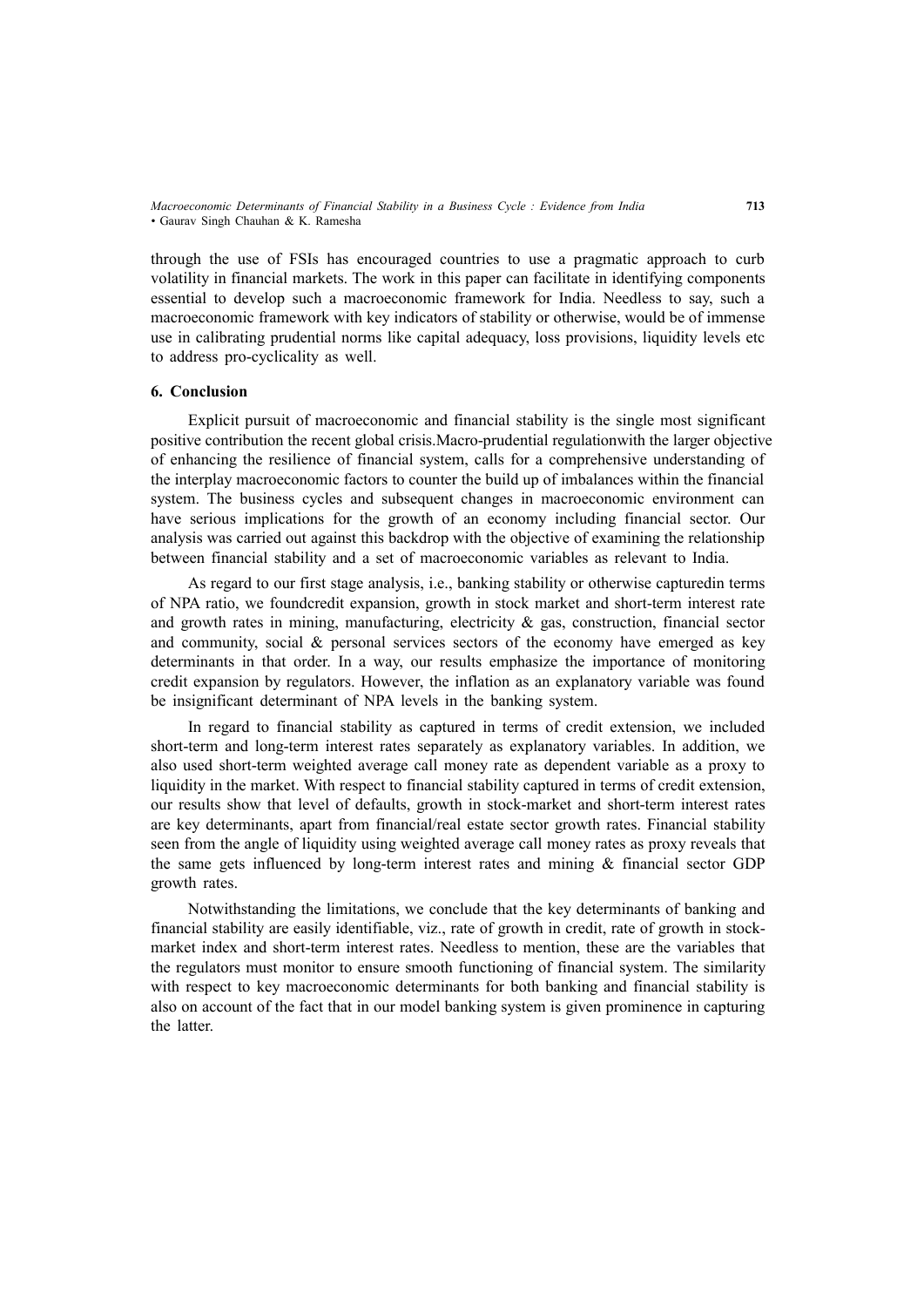*Macroeconomic Determinants of Financial Stability in a Business Cycle : Evidence from India* **713** *•* Gaurav Singh Chauhan & K. Ramesha

through the use of FSIs has encouraged countries to use a pragmatic approach to curb volatility in financial markets. The work in this paper can facilitate in identifying components essential to develop such a macroeconomic framework for India. Needless to say, such a macroeconomic framework with key indicators of stability or otherwise, would be of immense use in calibrating prudential norms like capital adequacy, loss provisions, liquidity levels etc to address pro-cyclicality as well.

#### **6. Conclusion**

Explicit pursuit of macroeconomic and financial stability is the single most significant positive contribution the recent global crisis.Macro-prudential regulationwith the larger objective of enhancing the resilience of financial system, calls for a comprehensive understanding of the interplay macroeconomic factors to counter the build up of imbalances within the financial system. The business cycles and subsequent changes in macroeconomic environment can have serious implications for the growth of an economy including financial sector. Our analysis was carried out against this backdrop with the objective of examining the relationship between financial stability and a set of macroeconomic variables as relevant to India.

As regard to our first stage analysis, i.e., banking stability or otherwise capturedin terms of NPA ratio, we foundcredit expansion, growth in stock market and short-term interest rate and growth rates in mining, manufacturing, electricity  $\&$  gas, construction, financial sector and community, social  $\&$  personal services sectors of the economy have emerged as key determinants in that order. In a way, our results emphasize the importance of monitoring credit expansion by regulators. However, the inflation as an explanatory variable was found be insignificant determinant of NPA levels in the banking system.

In regard to financial stability as captured in terms of credit extension, we included short-term and long-term interest rates separately as explanatory variables. In addition, we also used short-term weighted average call money rate as dependent variable as a proxy to liquidity in the market. With respect to financial stability captured in terms of credit extension, our results show that level of defaults, growth in stock-market and short-term interest rates are key determinants, apart from financial/real estate sector growth rates. Financial stability seen from the angle of liquidity using weighted average call money rates as proxy reveals that the same gets influenced by long-term interest rates and mining & financial sector GDP growth rates.

Notwithstanding the limitations, we conclude that the key determinants of banking and financial stability are easily identifiable, viz., rate of growth in credit, rate of growth in stockmarket index and short-term interest rates. Needless to mention, these are the variables that the regulators must monitor to ensure smooth functioning of financial system. The similarity with respect to key macroeconomic determinants for both banking and financial stability is also on account of the fact that in our model banking system is given prominence in capturing the latter.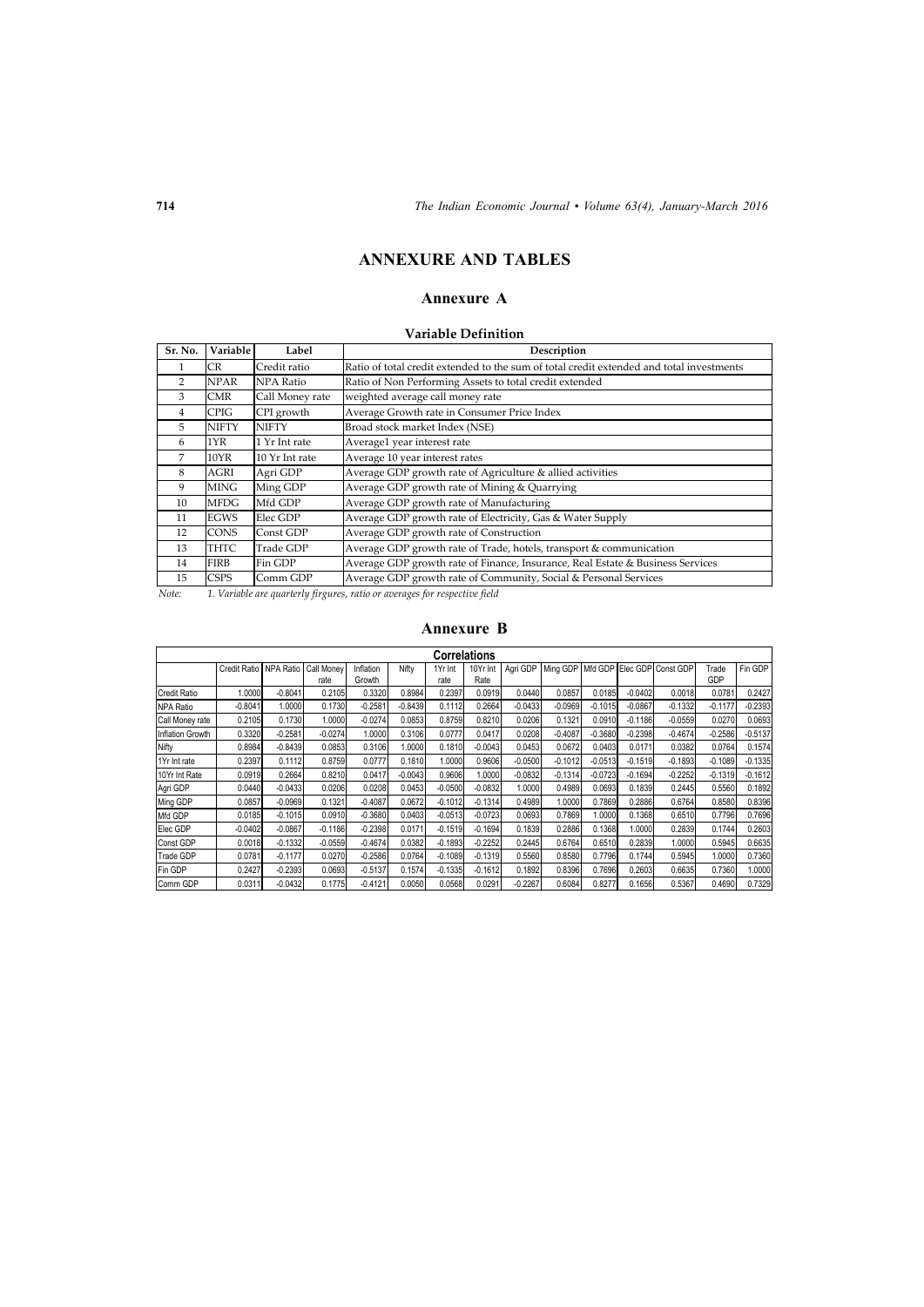## **ANNEXURE AND TABLES**

## **Annexure A**

## **Variable Definition**

| Sr. No. | Variable     | Label           | Description                                                                              |
|---------|--------------|-----------------|------------------------------------------------------------------------------------------|
|         | CR           | Credit ratio    | Ratio of total credit extended to the sum of total credit extended and total investments |
| 2       | NPAR         | NPA Ratio       | Ratio of Non Performing Assets to total credit extended                                  |
| 3       | CMR          | Call Money rate | weighted average call money rate                                                         |
| 4       | <b>CPIG</b>  | CPI growth      | Average Growth rate in Consumer Price Index                                              |
| 5       | <b>NIFTY</b> | <b>NIFTY</b>    | Broad stock market Index (NSE)                                                           |
| 6       | 1YR          | 1 Yr Int rate   | Average1 year interest rate                                                              |
| 7       | 10YR         | 10 Yr Int rate  | Average 10 year interest rates                                                           |
| 8       | AGRI         | Agri GDP        | Average GDP growth rate of Agriculture & allied activities                               |
| 9       | <b>MING</b>  | Ming GDP        | Average GDP growth rate of Mining & Quarrying                                            |
| 10      | MFDG         | Mfd GDP         | Average GDP growth rate of Manufacturing                                                 |
| 11      | <b>EGWS</b>  | Elec GDP        | Average GDP growth rate of Electricity, Gas & Water Supply                               |
| 12      | <b>CONS</b>  | Const GDP       | Average GDP growth rate of Construction                                                  |
| 13      | THTC         | Trade GDP       | Average GDP growth rate of Trade, hotels, transport & communication                      |
| 14      | <b>FIRB</b>  | Fin GDP         | Average GDP growth rate of Finance, Insurance, Real Estate & Business Services           |
| 15      | CSPS         | Comm GDP        | Average GDP growth rate of Community, Social & Personal Services                         |

*Note: 1. Variable are quarterly firgures, ratio or averages for respective field*

### **Annexure B**

|                     | <b>Correlations</b>    |           |            |           |           |           |           |           |           |           |           |                                           |           |           |
|---------------------|------------------------|-----------|------------|-----------|-----------|-----------|-----------|-----------|-----------|-----------|-----------|-------------------------------------------|-----------|-----------|
|                     | Credit Ratio NPA Ratio |           | Call Monev | Inflation | Nifty     | 1Yr Int   | 10Yr Int  | Agri GDP  |           |           |           | Ming GDP   Mfd GDP   Elec GDP   Const GDP | Trade     | Fin GDP   |
|                     |                        |           | rate       | Growth    |           | rate      | Rate      |           |           |           |           |                                           | GDP       |           |
| <b>Credit Ratio</b> | 1.0000                 | $-0.8041$ | 0.2105     | 0.3320    | 0.8984    | 0.2397    | 0.0919    | 0.0440    | 0.0857    | 0.0185    | $-0.0402$ | 0.0018                                    | 0.0781    | 0.2427    |
| <b>NPA Ratio</b>    | $-0.8041$              | 1.0000    | 0.1730     | $-0.2581$ | $-0.8439$ | 0.1112    | 0.2664    | $-0.0433$ | $-0.0969$ | $-0.1015$ | $-0.0867$ | $-0.1332$                                 | $-0.1177$ | $-0.2393$ |
| Call Money rate     | 0.2105                 | 0.1730    | .0000      | $-0.0274$ | 0.0853    | 0.8759    | 0.8210    | 0.0206    | 0.1321    | 0.0910    | $-0.1186$ | $-0.0559$                                 | 0.0270    | 0.0693    |
| Inflation Growth    | 0.3320                 | $-0.2581$ | $-0.0274$  | 1.0000    | 0.3106    | 0.0777    | 0.0417    | 0.0208    | $-0.4087$ | $-0.3680$ | $-0.2398$ | $-0.4674$                                 | $-0.2586$ | $-0.5137$ |
| Nifty               | 0.8984                 | $-0.8439$ | 0.0853     | 0.3106    | 1.0000    | 0.1810    | $-0.0043$ | 0.0453    | 0.0672    | 0.0403    | 0.0171    | 0.0382                                    | 0.0764    | 0.1574    |
| 1Yr Int rate        | 0.2397                 | 0.1112    | 0.8759     | 0.0777    | 0.1810    | 1.0000    | 0.9606    | $-0.0500$ | $-0.1012$ | $-0.0513$ | $-0.1519$ | $-0.1893$                                 | $-0.1089$ | $-0.1335$ |
| 10Yr Int Rate       | 0.0919                 | 0.2664    | 0.8210     | 0.0417    | $-0.0043$ | 0.9606    | 1.0000    | $-0.0832$ | $-0.1314$ | $-0.0723$ | $-0.1694$ | $-0.2252$                                 | $-0.1319$ | $-0.1612$ |
| Agri GDP            | 0.0440                 | $-0.0433$ | 0.0206     | 0.0208    | 0.0453    | $-0.0500$ | $-0.0832$ | 1.0000    | 0.4989    | 0.0693    | 0.1839    | 0.2445                                    | 0.5560    | 0.1892    |
| Ming GDP            | 0.0857                 | $-0.0969$ | 0.1321     | $-0.4087$ | 0.0672    | $-0.1012$ | $-0.1314$ | 0.4989    | 1.0000    | 0.7869    | 0.2886    | 0.6764                                    | 0.8580    | 0.8396    |
| Mfd GDP             | 0.0185                 | $-0.1015$ | 0.0910     | $-0.3680$ | 0.0403    | $-0.0513$ | $-0.0723$ | 0.0693    | 0.7869    | 1.0000    | 0.1368    | 0.6510                                    | 0.7796    | 0.7696    |
| Elec GDP            | $-0.0402$              | $-0.0867$ | $-0.1186$  | $-0.2398$ | 0.0171    | $-0.1519$ | $-0.1694$ | 0.1839    | 0.2886    | 0.1368    | 0000.     | 0.2839                                    | 0.1744    | 0.2603    |
| Const GDP           | 0.0018                 | $-0.1332$ | $-0.0559$  | $-0.4674$ | 0.0382    | $-0.1893$ | $-0.2252$ | 0.2445    | 0.6764    | 0.6510    | 0.2839    | 1.0000                                    | 0.5945    | 0.6635    |
| <b>Trade GDP</b>    | 0.0781                 | $-0.1177$ | 0.0270     | $-0.2586$ | 0.0764    | $-0.1089$ | $-0.1319$ | 0.5560    | 0.8580    | 0.7796    | 0.1744    | 0.5945                                    | 1.0000    | 0.7360    |
| Fin GDP             | 0.2427                 | $-0.2393$ | 0.0693     | $-0.5137$ | 0.1574    | $-0.1335$ | $-0.1612$ | 0.1892    | 0.8396    | 0.7696    | 0.2603    | 0.6635                                    | 0.7360    | 1.0000    |
| Comm GDP            | 0.0311                 | $-0.0432$ | 0.1775     | $-0.4121$ | 0.0050    | 0.0568    | 0.0291    | $-0.2267$ | 0.6084    | 0.8277    | 0.1656    | 0.5367                                    | 0.4690    | 0.7329    |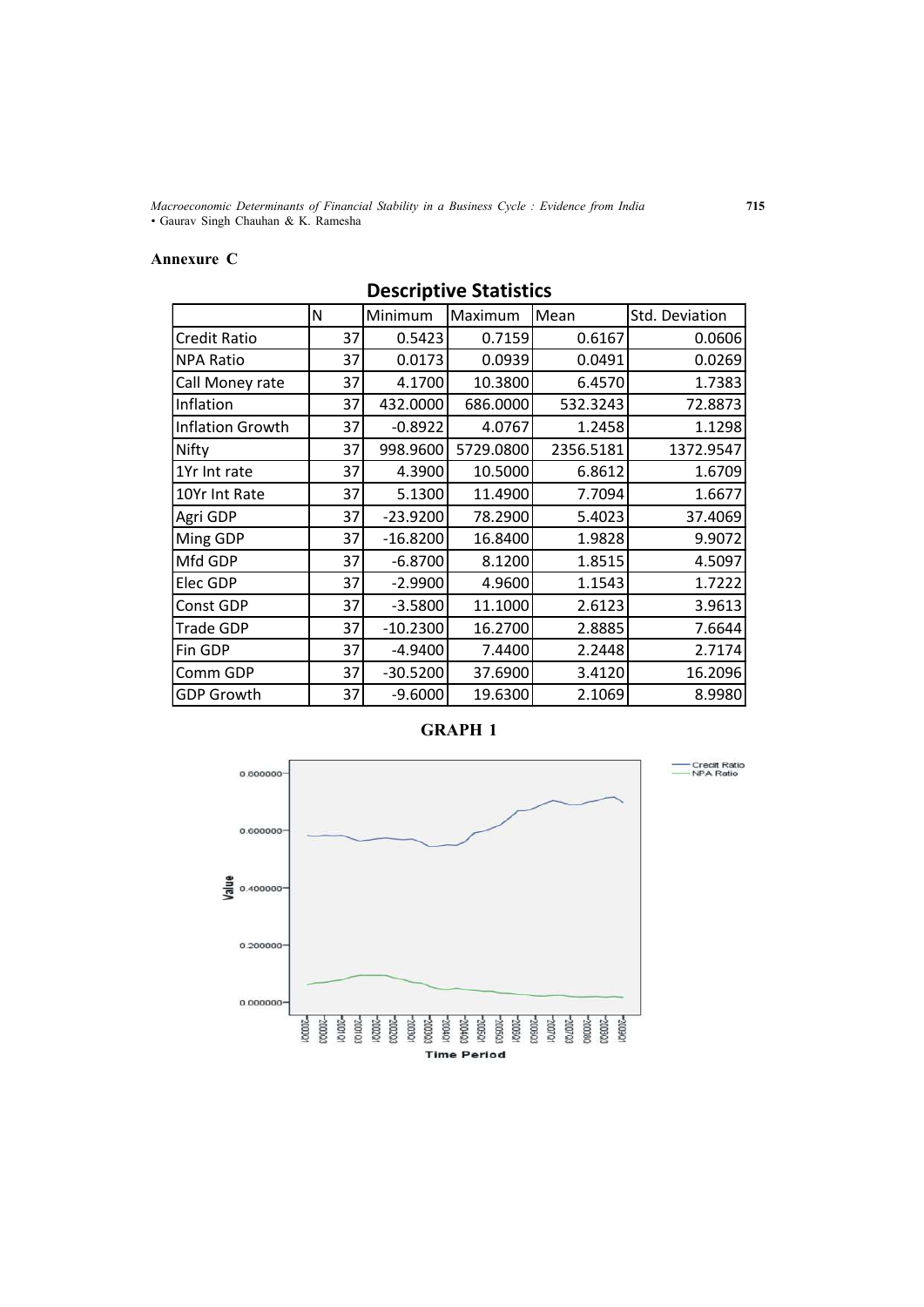*Macroeconomic Determinants of Financial Stability in a Business Cycle : Evidence from India* **715** *•* Gaurav Singh Chauhan & K. Ramesha

## **Annexure C**

|                     | N  | Minimum    | Maximum   | Mean      | Std. Deviation |  |  |  |
|---------------------|----|------------|-----------|-----------|----------------|--|--|--|
| <b>Credit Ratio</b> | 37 | 0.5423     | 0.7159    | 0.6167    | 0.0606         |  |  |  |
| <b>NPA Ratio</b>    | 37 | 0.0173     | 0.0939    | 0.0491    | 0.0269         |  |  |  |
| Call Money rate     | 37 | 4.1700     | 10.3800   | 6.4570    | 1.7383         |  |  |  |
| Inflation           | 37 | 432.0000   | 686.0000  | 532.3243  | 72.8873        |  |  |  |
| Inflation Growth    | 37 | $-0.8922$  | 4.0767    | 1.2458    | 1.1298         |  |  |  |
| Nifty               | 37 | 998.9600   | 5729.0800 | 2356.5181 | 1372.9547      |  |  |  |
| 1Yr Int rate        | 37 | 4.3900     | 10.5000   | 6.8612    | 1.6709         |  |  |  |
| 10Yr Int Rate       | 37 | 5.1300     | 11.4900   | 7.7094    | 1.6677         |  |  |  |
| Agri GDP            | 37 | $-23.9200$ | 78.2900   | 5.4023    | 37.4069        |  |  |  |
| Ming GDP            | 37 | $-16.8200$ | 16.8400   | 1.9828    | 9.9072         |  |  |  |
| Mfd GDP             | 37 | $-6.8700$  | 8.1200    | 1.8515    | 4.5097         |  |  |  |
| Elec GDP            | 37 | $-2.9900$  | 4.9600    | 1.1543    | 1.7222         |  |  |  |
| Const GDP           | 37 | $-3.5800$  | 11.1000   | 2.6123    | 3.9613         |  |  |  |
| <b>Trade GDP</b>    | 37 | $-10.2300$ | 16.2700   | 2.8885    | 7.6644         |  |  |  |
| Fin GDP             | 37 | $-4.9400$  | 7.4400    | 2.2448    | 2.7174         |  |  |  |
| Comm GDP            | 37 | $-30.5200$ | 37.6900   | 3.4120    | 16.2096        |  |  |  |
| <b>GDP Growth</b>   | 37 | $-9.6000$  | 19.6300   | 2.1069    | 8.9980         |  |  |  |

## **Descriptive Statistics**





Credit Ratio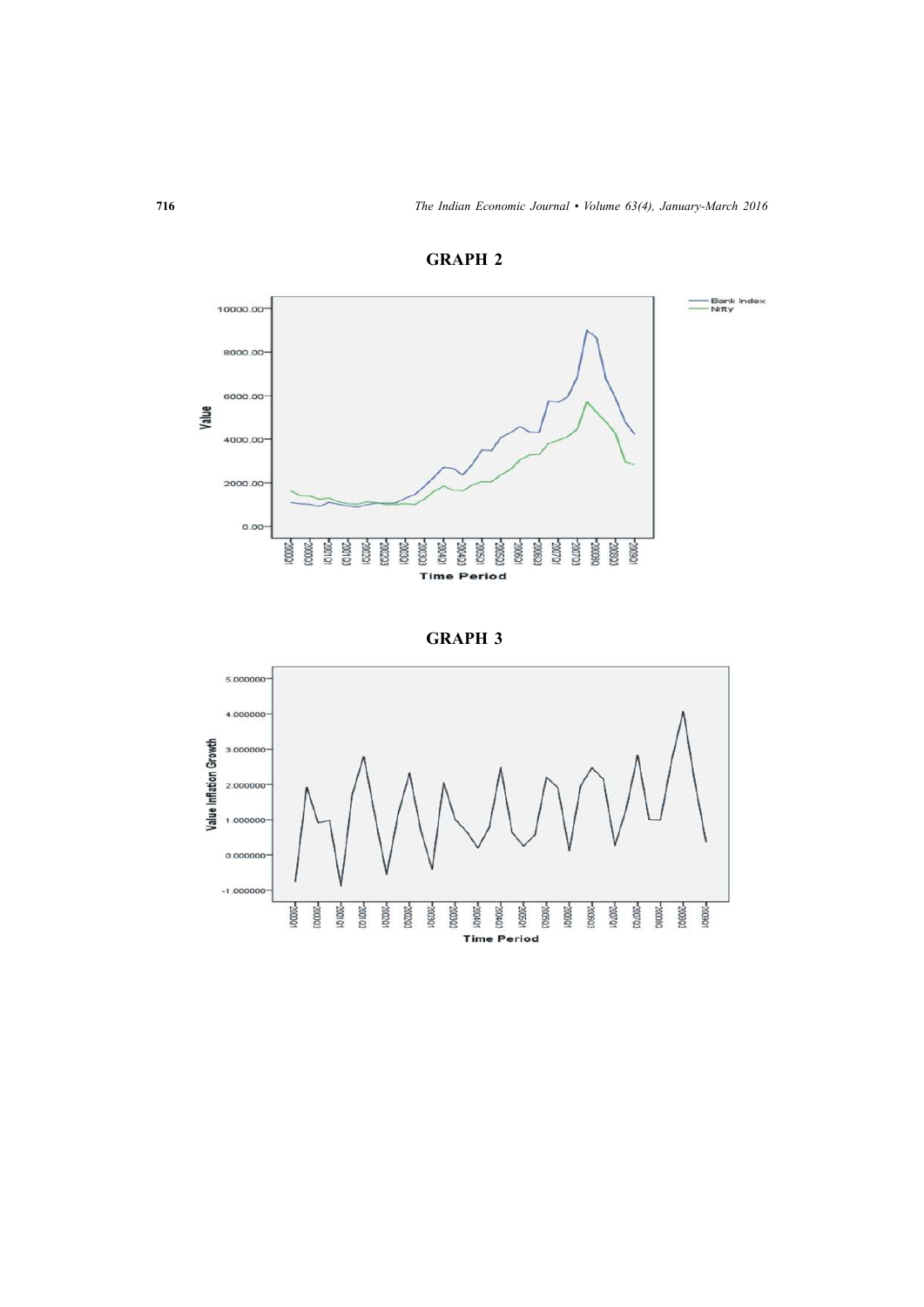

**GRAPH 2**



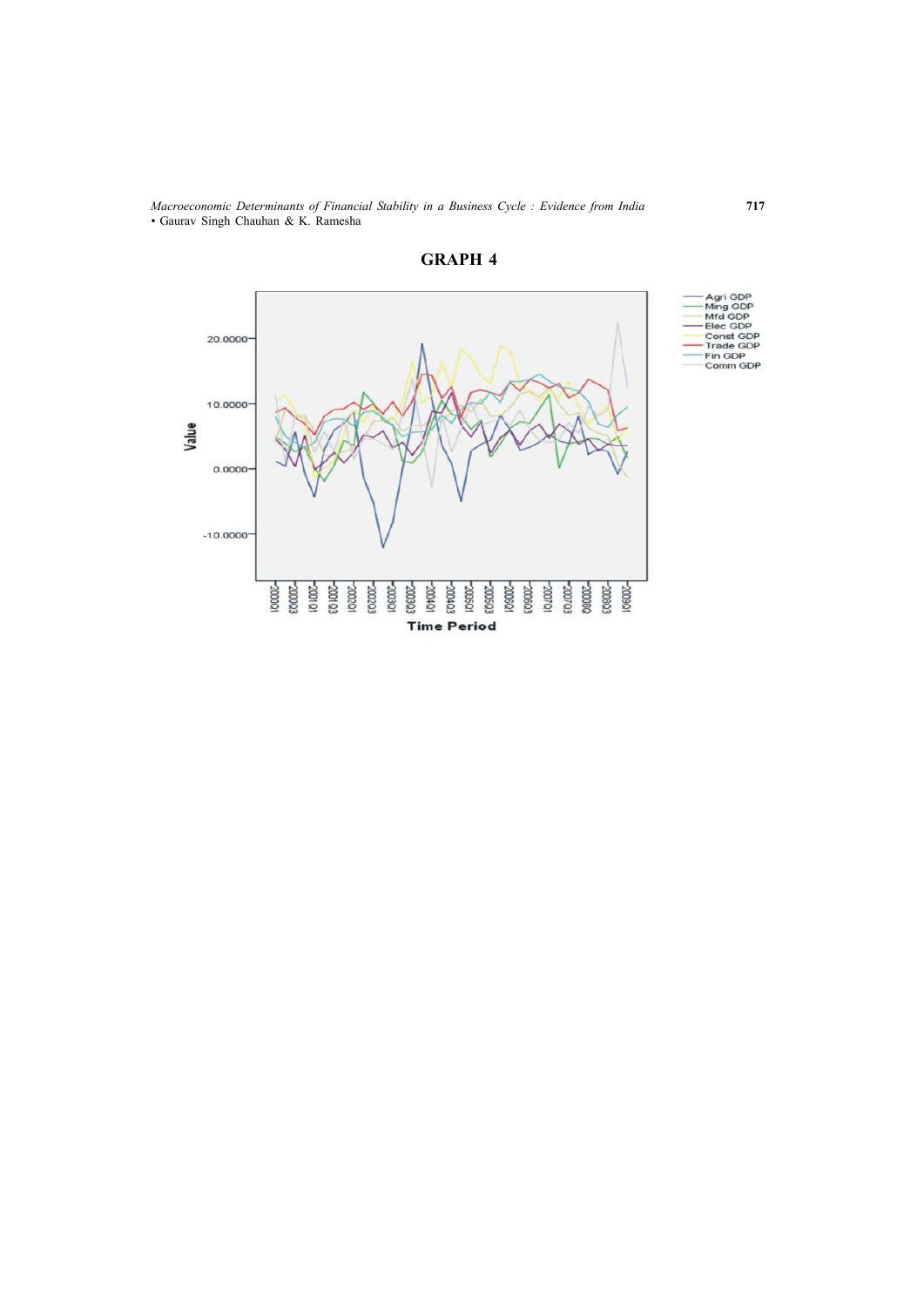*Macroeconomic Determinants of Financial Stability in a Business Cycle : Evidence from India* **717** *•* Gaurav Singh Chauhan & K. Ramesha



**GRAPH 4**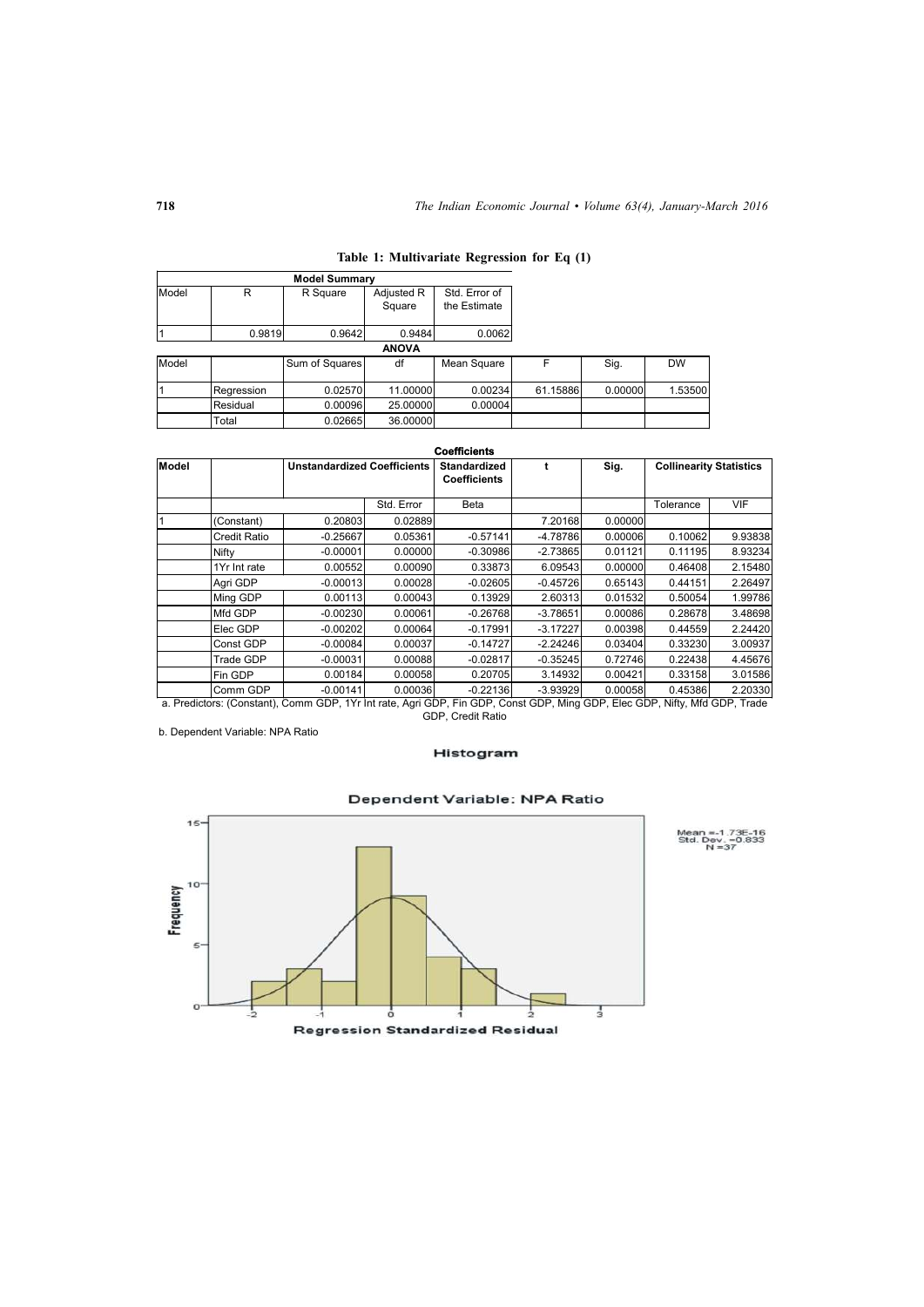|       |            | <b>Model Summary</b> |              |               |          |         |           |
|-------|------------|----------------------|--------------|---------------|----------|---------|-----------|
| Model | R          | R Square             | Adjusted R   | Std. Error of |          |         |           |
|       |            |                      | Square       | the Estimate  |          |         |           |
|       | 0.9819     | 0.9642               | 0.9484       | 0.0062        |          |         |           |
|       |            |                      | <b>ANOVA</b> |               |          |         |           |
| Model |            | Sum of Squares       | df           | Mean Square   | F        | Sig.    | <b>DW</b> |
|       | Regression | 0.02570              | 11.00000     | 0.00234       | 61.15886 | 0.00000 | 1.53500   |
|       | Residual   | 0.00096              | 25.00000     | 0.00004       |          |         |           |
|       | Total      | 0.02665              | 36.00000     |               |          |         |           |

| Table 1: Multivariate Regression for Eq (1) |
|---------------------------------------------|
|---------------------------------------------|

|               |                     |                                    |            | <b>Coefficients</b>                        |            |         |                                |            |  |
|---------------|---------------------|------------------------------------|------------|--------------------------------------------|------------|---------|--------------------------------|------------|--|
| <b>IModel</b> |                     | <b>Unstandardized Coefficients</b> |            | <b>Standardized</b><br><b>Coefficients</b> |            | Sig.    | <b>Collinearity Statistics</b> |            |  |
|               |                     |                                    | Std. Error | Beta                                       |            |         | Tolerance                      | <b>VIF</b> |  |
|               | (Constant)          | 0.20803                            | 0.02889    |                                            | 7.20168    | 0.00000 |                                |            |  |
|               | <b>Credit Ratio</b> | $-0.25667$                         | 0.05361    | $-0.57141$                                 | $-4.78786$ | 0.00006 | 0.10062                        | 9.93838    |  |
|               | Nifty               | $-0.00001$                         | 0.00000    | $-0.30986$                                 | $-2.73865$ | 0.01121 | 0.11195                        | 8.93234    |  |
|               | 1Yr Int rate        | 0.00552                            | 0.00090    | 0.33873                                    | 6.09543    | 0.00000 | 0.46408                        | 2.15480    |  |
|               | Agri GDP            | $-0.00013$                         | 0.00028    | $-0.02605$                                 | $-0.45726$ | 0.65143 | 0.44151                        | 2.26497    |  |
|               | Ming GDP            | 0.00113                            | 0.00043    | 0.13929                                    | 2.60313    | 0.01532 | 0.50054                        | 1.99786    |  |
|               | Mfd GDP             | $-0.00230$                         | 0.00061    | $-0.26768$                                 | $-3.78651$ | 0.00086 | 0.28678                        | 3.48698    |  |
|               | Elec GDP            | $-0.00202$                         | 0.00064    | $-0.17991$                                 | $-3.17227$ | 0.00398 | 0.44559                        | 2.24420    |  |
|               | Const GDP           | $-0.00084$                         | 0.00037    | $-0.14727$                                 | $-2.24246$ | 0.03404 | 0.33230                        | 3.00937    |  |
|               | Trade GDP           | $-0.00031$                         | 0.00088    | $-0.02817$                                 | $-0.35245$ | 0.72746 | 0.22438                        | 4.45676    |  |
|               | Fin GDP             | 0.00184                            | 0.00058    | 0.20705                                    | 3.14932    | 0.00421 | 0.33158                        | 3.01586    |  |
|               | Comm GDP            | $-0.00141$                         | 0.00036    | $-0.22136$                                 | $-3.93929$ | 0.00058 | 0.45386                        | 2.20330    |  |

a. Predictors: (Constant), Comm GDP, 1Yr Int rate, Agri GDP, Fin GDP, Const GDP, Ming GDP, Elec GDP, Nifty, Mfd GDP, Trade GDP, Credit Ratio

b. Dependent Variable: NPA Ratio

#### Histogram



## Dependent Variable: NPA Ratio

Mean =-1.73E-16<br>Std. Dev. =0.833<br>N =37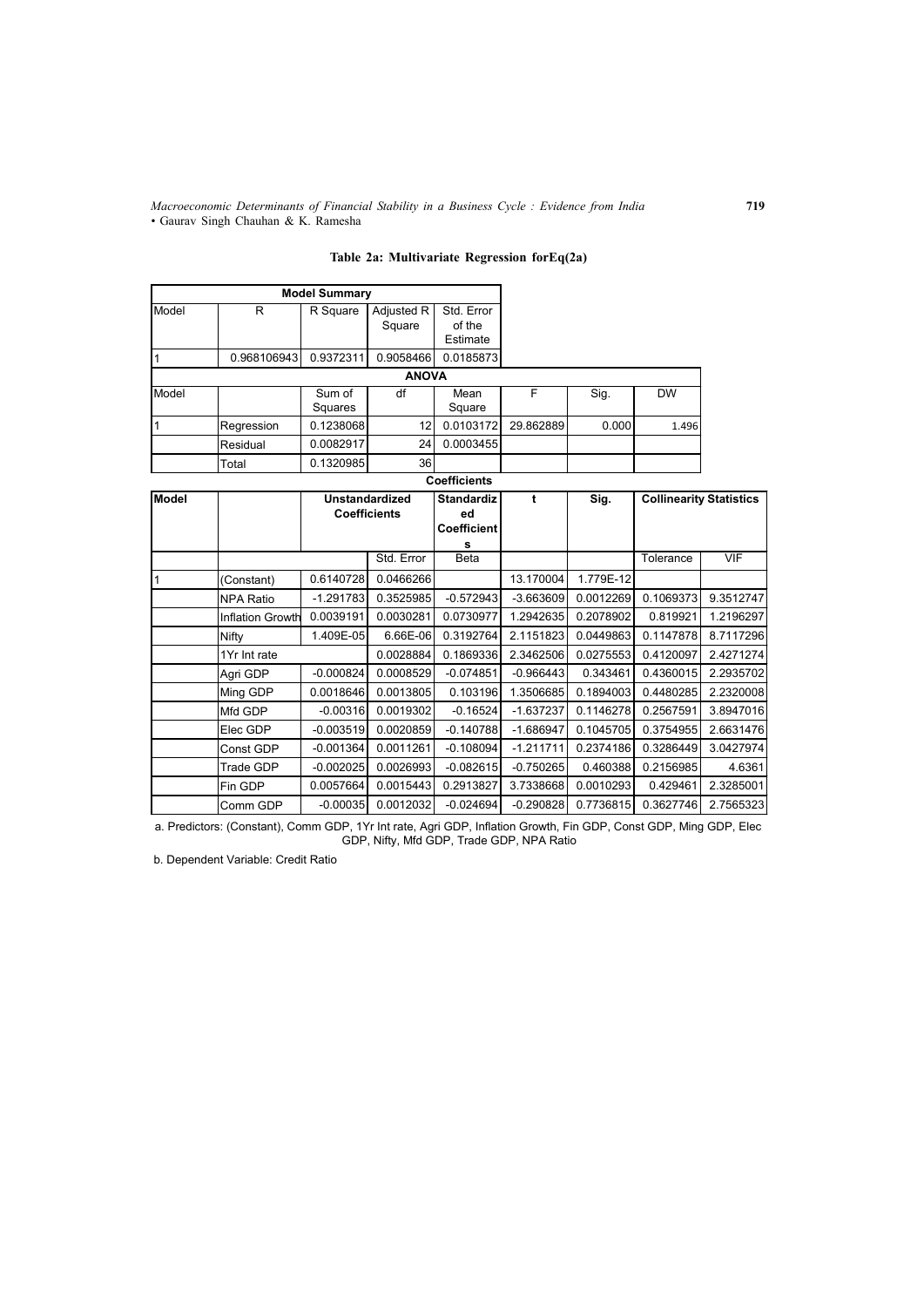*Macroeconomic Determinants of Financial Stability in a Business Cycle : Evidence from India* **719** *•* Gaurav Singh Chauhan & K. Ramesha

**Table 2a: Multivariate Regression forEq(2a)**

|       |             | <b>Model Summary</b> |                      |                                  |           |       |           |
|-------|-------------|----------------------|----------------------|----------------------------------|-----------|-------|-----------|
| Model | R           | R Square             | Adjusted R<br>Square | Std. Error<br>of the<br>Estimate |           |       |           |
|       | 0.968106943 | 0.9372311            | 0.9058466            | 0.0185873                        |           |       |           |
|       |             |                      | <b>ANOVA</b>         |                                  |           |       |           |
| Model |             | Sum of<br>Squares    | df                   | Mean<br>Square                   | F         | Sig.  | <b>DW</b> |
|       | Regression  | 0.1238068            | 12                   | 0.0103172                        | 29.862889 | 0.000 | 1.496     |
|       | Residual    | 0.0082917            | 24                   | 0.0003455                        |           |       |           |
|       | Total       | 0.1320985            | 36                   |                                  |           |       |           |

#### **Coefficients**

| <b>Model</b> |                         | <b>Unstandardized</b><br><b>Coefficients</b> |            | <b>Standardiz</b><br>ed<br><b>Coefficient</b> |             | Sig.      | <b>Collinearity Statistics</b> |            |
|--------------|-------------------------|----------------------------------------------|------------|-----------------------------------------------|-------------|-----------|--------------------------------|------------|
|              |                         |                                              | Std. Error | s<br>Beta                                     |             |           | Tolerance                      | <b>VIF</b> |
|              |                         |                                              |            |                                               |             |           |                                |            |
|              | (Constant)              | 0.6140728                                    | 0.0466266  |                                               | 13.170004   | 1.779E-12 |                                |            |
|              | <b>NPA Ratio</b>        | $-1.291783$                                  | 0.3525985  | $-0.572943$                                   | $-3.663609$ | 0.0012269 | 0.1069373                      | 9.3512747  |
|              | <b>Inflation Growth</b> | 0.0039191                                    | 0.0030281  | 0.0730977                                     | 1.2942635   | 0.2078902 | 0.819921                       | 1.2196297  |
|              | Nifty                   | 1.409E-05                                    | 6.66E-06   | 0.3192764                                     | 2.1151823   | 0.0449863 | 0.1147878                      | 8.7117296  |
|              | 1Yr Int rate            |                                              | 0.0028884  | 0.1869336                                     | 2.3462506   | 0.0275553 | 0.4120097                      | 2.4271274  |
|              | Agri GDP                | $-0.000824$                                  | 0.0008529  | $-0.074851$                                   | $-0.966443$ | 0.343461  | 0.4360015                      | 2.2935702  |
|              | Ming GDP                | 0.0018646                                    | 0.0013805  | 0.103196                                      | 1.3506685   | 0.1894003 | 0.4480285                      | 2.2320008  |
|              | Mfd GDP                 | $-0.00316$                                   | 0.0019302  | $-0.16524$                                    | $-1.637237$ | 0.1146278 | 0.2567591                      | 3.8947016  |
|              | Elec GDP                | $-0.003519$                                  | 0.0020859  | $-0.140788$                                   | $-1.686947$ | 0.1045705 | 0.3754955                      | 2.6631476  |
|              | Const GDP               | $-0.001364$                                  | 0.0011261  | $-0.108094$                                   | $-1.211711$ | 0.2374186 | 0.3286449                      | 3.0427974  |
|              | Trade GDP               | $-0.002025$                                  | 0.0026993  | $-0.082615$                                   | $-0.750265$ | 0.460388  | 0.2156985                      | 4.6361     |
|              | Fin GDP                 | 0.0057664                                    | 0.0015443  | 0.2913827                                     | 3.7338668   | 0.0010293 | 0.429461                       | 2.3285001  |
|              | Comm GDP                | $-0.00035$                                   | 0.0012032  | $-0.024694$                                   | $-0.290828$ | 0.7736815 | 0.3627746                      | 2.7565323  |

a. Predictors: (Constant), Comm GDP, 1Yr Int rate, Agri GDP, Inflation Growth, Fin GDP, Const GDP, Ming GDP, Elec GDP, Nifty, Mfd GDP, Trade GDP, NPA Ratio

b. Dependent Variable: Credit Ratio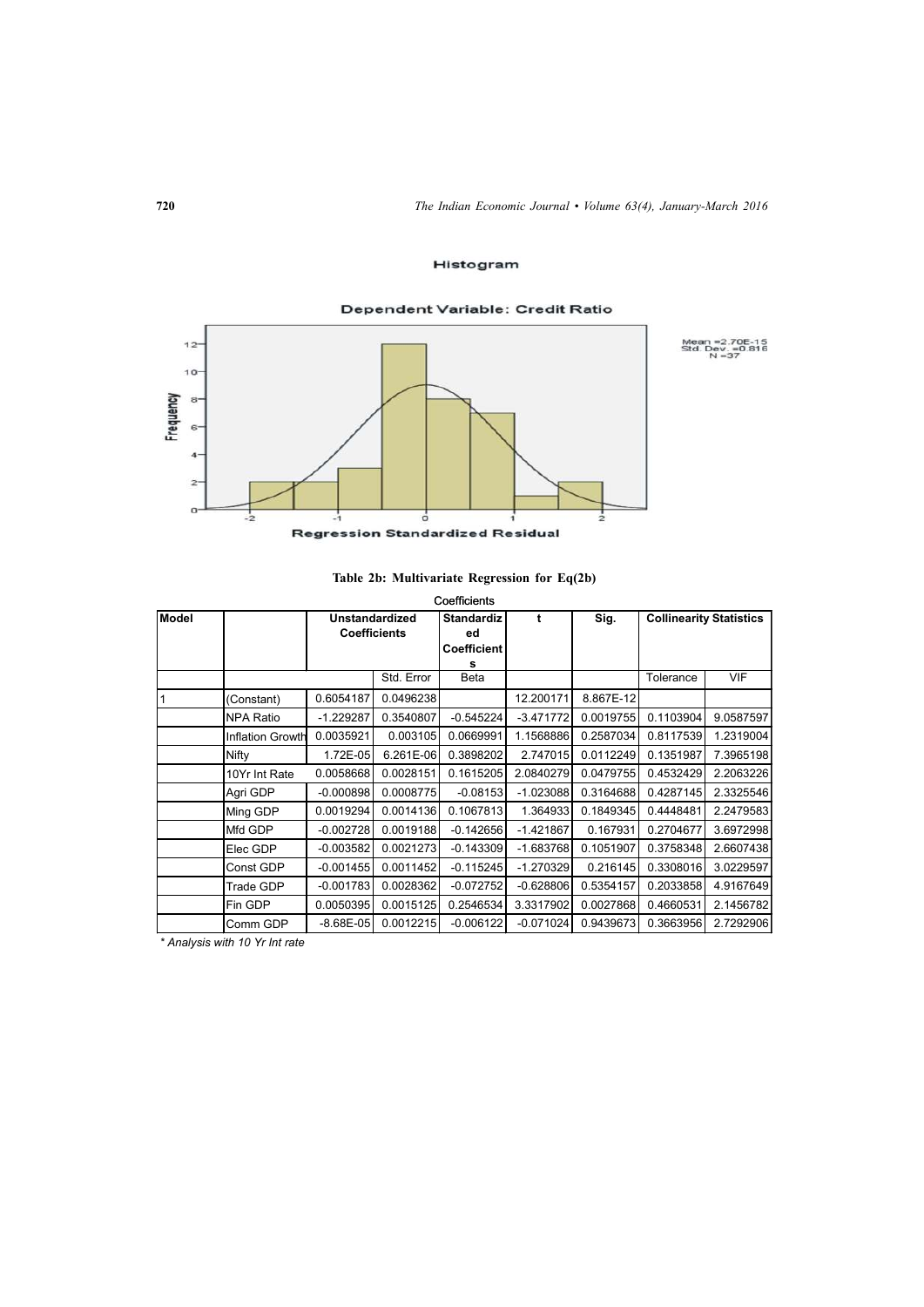## Histogram

## Dependent Variable: Credit Ratio  $12$  $10 _{\rm s}$  $6$

Mean = 2.70E-15<br>Std. Dev. = 0.816<br>N = 37



 $\frac{1}{2}$ 

## **Table 2b: Multivariate Regression for Eq(2b)**

|       |                  |                     |            | Coefficients             |             |           |                                |            |
|-------|------------------|---------------------|------------|--------------------------|-------------|-----------|--------------------------------|------------|
| Model |                  | Unstandardized      |            | <b>Standardiz</b>        | t           | Sig.      | <b>Collinearity Statistics</b> |            |
|       |                  | <b>Coefficients</b> |            | ed<br><b>Coefficient</b> |             |           |                                |            |
|       |                  |                     |            |                          |             |           |                                |            |
|       |                  |                     | Std. Error | Beta                     |             |           | Tolerance                      | <b>VIF</b> |
|       | (Constant)       | 0.6054187           | 0.0496238  |                          | 12.200171   | 8.867E-12 |                                |            |
|       | <b>NPA Ratio</b> | $-1.229287$         | 0.3540807  | $-0.545224$              | $-3.471772$ | 0.0019755 | 0.1103904                      | 9.0587597  |
|       | Inflation Growth | 0.0035921           | 0.003105   | 0.0669991                | 1.1568886   | 0.2587034 | 0.8117539                      | 1.2319004  |
|       | Nifty            | 1.72E-05            | 6.261E-06  | 0.3898202                | 2.747015    | 0.0112249 | 0.1351987                      | 7.3965198  |
|       | 10Yr Int Rate    | 0.0058668           | 0.0028151  | 0.1615205                | 2.0840279   | 0.0479755 | 0.4532429                      | 2.2063226  |
|       | Agri GDP         | $-0.000898$         | 0.0008775  | $-0.08153$               | $-1.023088$ | 0.3164688 | 0.4287145                      | 2.3325546  |
|       | Ming GDP         | 0.0019294           | 0.0014136  | 0.1067813                | 1.364933    | 0.1849345 | 0.4448481                      | 2.2479583  |
|       | Mfd GDP          | $-0.002728$         | 0.0019188  | $-0.142656$              | $-1.421867$ | 0.167931  | 0.2704677                      | 3.6972998  |
|       | Elec GDP         | $-0.003582$         | 0.0021273  | $-0.143309$              | $-1.683768$ | 0.1051907 | 0.3758348                      | 2.6607438  |
|       | Const GDP        | $-0.001455$         | 0.0011452  | $-0.115245$              | $-1.270329$ | 0.216145  | 0.3308016                      | 3.0229597  |
|       | Trade GDP        | $-0.001783$         | 0.0028362  | $-0.072752$              | $-0.628806$ | 0.5354157 | 0.2033858                      | 4.9167649  |
|       | Fin GDP          | 0.0050395           | 0.0015125  | 0.2546534                | 3.3317902   | 0.0027868 | 0.4660531                      | 2.1456782  |
|       | Comm GDP         | $-8.68E - 05$       | 0.0012215  | $-0.006122$              | $-0.071024$ | 0.9439673 | 0.3663956                      | 2.7292906  |

*\* Analysis with 10 Yr Int rate*

Frequency

 $\overline{\bf{4}}$  $\overline{a}$  $\overline{a}$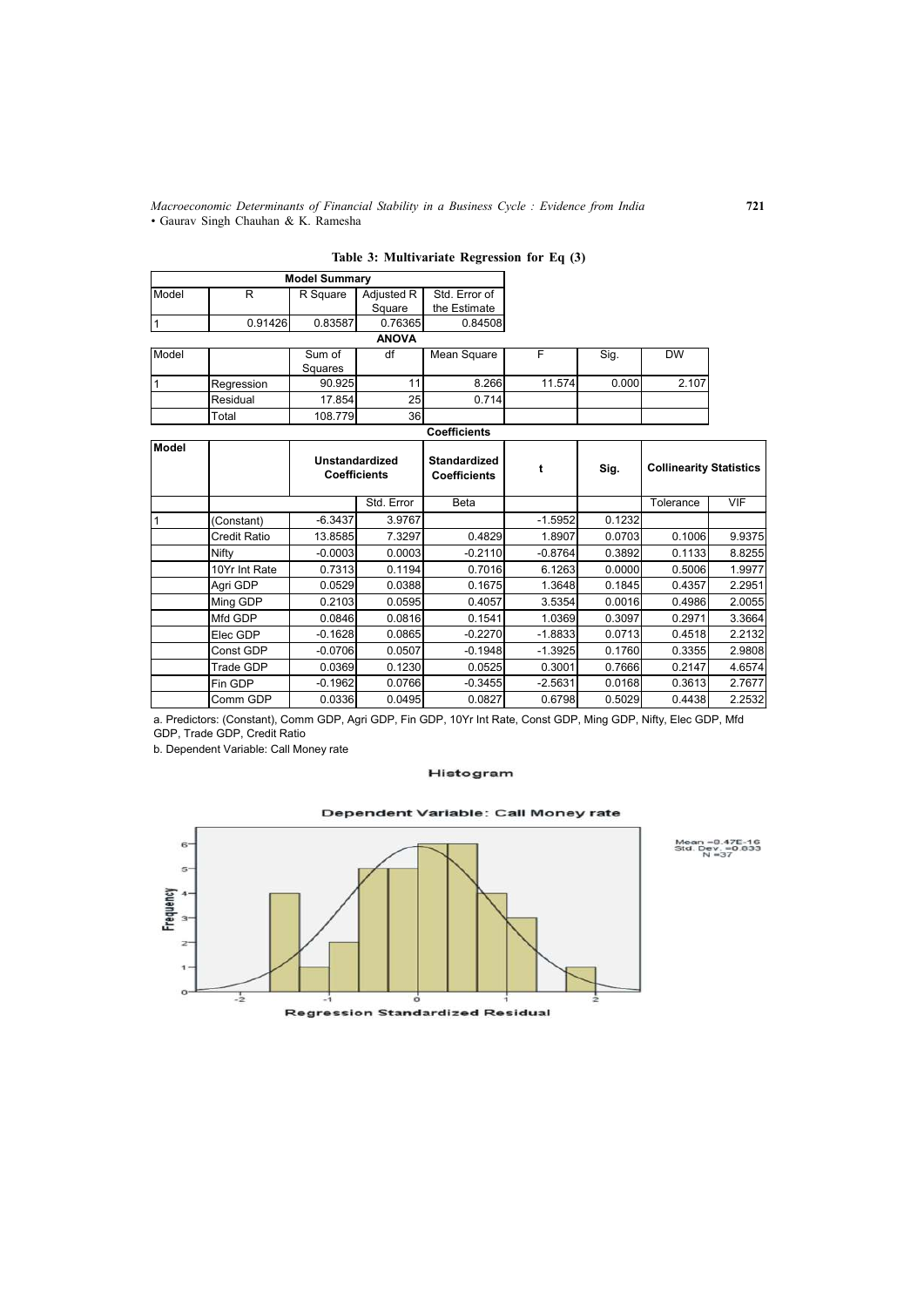*Macroeconomic Determinants of Financial Stability in a Business Cycle : Evidence from India* **721** *•* Gaurav Singh Chauhan & K. Ramesha

|       |            | <b>Model Summary</b> |                 |               |        |       |           |
|-------|------------|----------------------|-----------------|---------------|--------|-------|-----------|
| Model | R          | R Square             | Adjusted R      | Std. Error of |        |       |           |
|       |            |                      | Square          | the Estimate  |        |       |           |
|       | 0.91426    | 0.83587              | 0.76365         | 0.84508       |        |       |           |
|       |            |                      | <b>ANOVA</b>    |               |        |       |           |
| Model |            | Sum of               | df              | Mean Square   | F      | Sig.  | <b>DW</b> |
|       |            | Squares              |                 |               |        |       |           |
|       | Regression | 90.925               | 11              | 8.266         | 11.574 | 0.000 | 2.107     |
|       | Residual   | 17.854               | 25 <sub>l</sub> | 0.714         |        |       |           |
|       | Total      | 108.779              | 36              |               |        |       |           |

| Table 3: Multivariate Regression for Eq (3) |  |  |  |  |  |  |  |
|---------------------------------------------|--|--|--|--|--|--|--|
|---------------------------------------------|--|--|--|--|--|--|--|

|              |               |                                       |            | <b>Coefficients</b>                        |           |                                        |           |        |  |
|--------------|---------------|---------------------------------------|------------|--------------------------------------------|-----------|----------------------------------------|-----------|--------|--|
| <b>Model</b> |               | Unstandardized<br><b>Coefficients</b> |            | <b>Standardized</b><br><b>Coefficients</b> |           | <b>Collinearity Statistics</b><br>Sig. |           |        |  |
|              |               |                                       | Std. Error | Beta                                       |           |                                        | Tolerance | VIF    |  |
|              | (Constant)    | $-6.3437$                             | 3.9767     |                                            | $-1.5952$ | 0.1232                                 |           |        |  |
|              | Credit Ratio  | 13.8585                               | 7.3297     | 0.4829                                     | 1.8907    | 0.0703                                 | 0.1006    | 9.9375 |  |
|              | Nifty         | $-0.0003$                             | 0.0003     | $-0.2110$                                  | $-0.8764$ | 0.3892                                 | 0.1133    | 8.8255 |  |
|              | 10Yr Int Rate | 0.7313                                | 0.1194     | 0.7016                                     | 6.1263    | 0.0000                                 | 0.5006    | 1.9977 |  |
|              | Agri GDP      | 0.0529                                | 0.0388     | 0.1675                                     | 1.3648    | 0.1845                                 | 0.4357    | 2.2951 |  |
|              | Ming GDP      | 0.2103                                | 0.0595     | 0.4057                                     | 3.5354    | 0.0016                                 | 0.4986    | 2.0055 |  |
|              | Mfd GDP       | 0.0846                                | 0.0816     | 0.1541                                     | 1.0369    | 0.3097                                 | 0.2971    | 3.3664 |  |
|              | Elec GDP      | $-0.1628$                             | 0.0865     | $-0.2270$                                  | $-1.8833$ | 0.0713                                 | 0.4518    | 2.2132 |  |
|              | Const GDP     | $-0.0706$                             | 0.0507     | $-0.1948$                                  | $-1.3925$ | 0.1760                                 | 0.3355    | 2.9808 |  |
|              | Trade GDP     | 0.0369                                | 0.1230     | 0.0525                                     | 0.3001    | 0.7666                                 | 0.2147    | 4.6574 |  |
|              | Fin GDP       | $-0.1962$                             | 0.0766     | $-0.3455$                                  | $-2.5631$ | 0.0168                                 | 0.3613    | 2.7677 |  |
|              | Comm GDP      | 0.0336                                | 0.0495     | 0.0827                                     | 0.6798    | 0.5029                                 | 0.4438    | 2.2532 |  |

a. Predictors: (Constant), Comm GDP, Agri GDP, Fin GDP, 10Yr Int Rate, Const GDP, Ming GDP, Nifty, Elec GDP, Mfd GDP, Trade GDP, Credit Ratio

b. Dependent Variable: Call Money rate

#### Histogram

#### Dependent Variable: Call Money rate



Mean =8.47E-16<br>Std. Dev. =0.833<br>N =37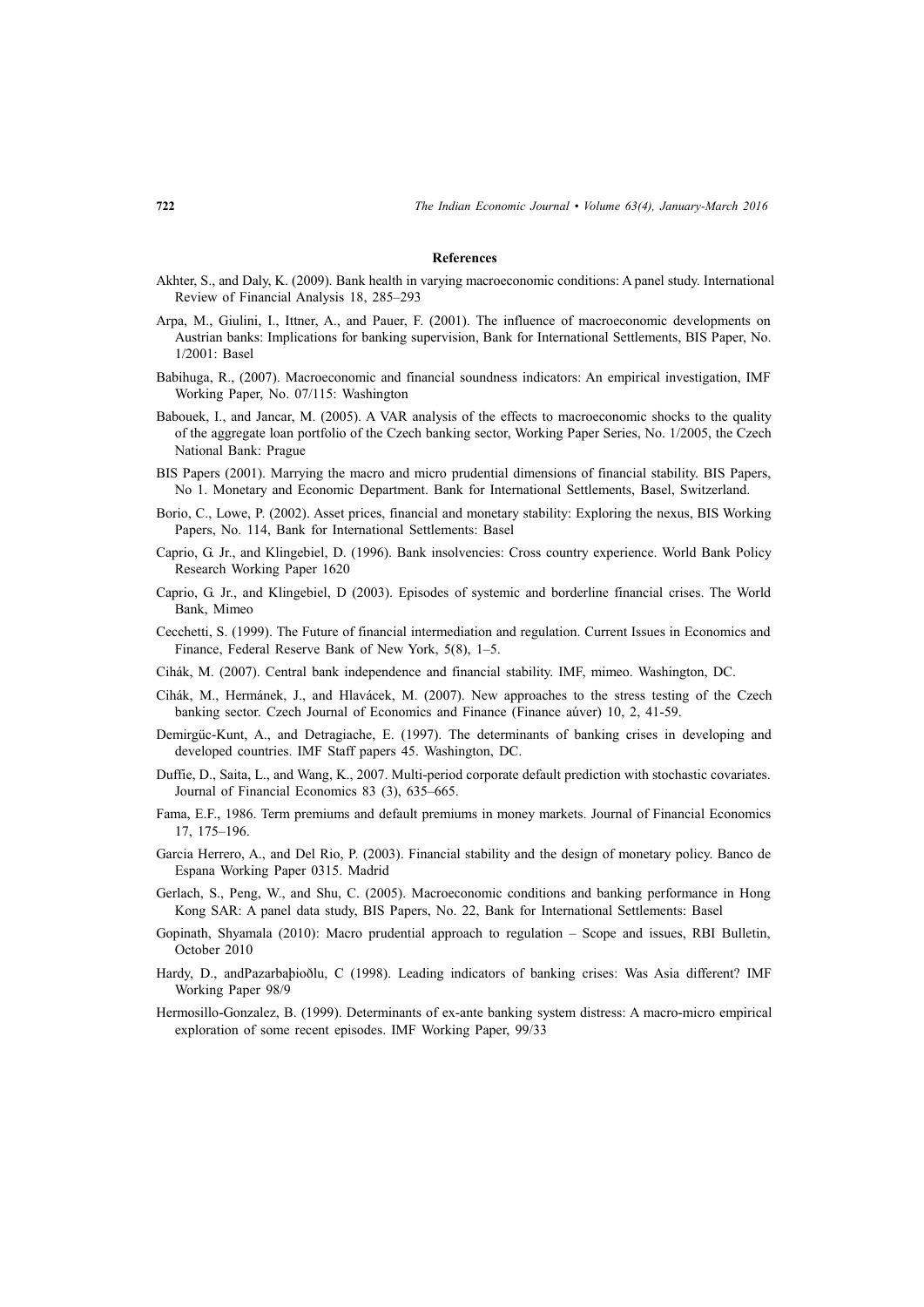#### **References**

- Akhter, S., and Daly, K. (2009). Bank health in varying macroeconomic conditions: A panel study. International Review of Financial Analysis 18, 285–293
- Arpa, M., Giulini, I., Ittner, A., and Pauer, F. (2001). The influence of macroeconomic developments on Austrian banks: Implications for banking supervision, Bank for International Settlements, BIS Paper, No. 1/2001: Basel
- Babihuga, R., (2007). Macroeconomic and financial soundness indicators: An empirical investigation, IMF Working Paper, No. 07/115: Washington
- Babouek, I., and Jancar, M. (2005). A VAR analysis of the effects to macroeconomic shocks to the quality of the aggregate loan portfolio of the Czech banking sector, Working Paper Series, No. 1/2005, the Czech National Bank: Prague
- BIS Papers (2001). Marrying the macro and micro prudential dimensions of financial stability. BIS Papers, No 1. Monetary and Economic Department. Bank for International Settlements, Basel, Switzerland.
- Borio, C., Lowe, P. (2002). Asset prices, financial and monetary stability: Exploring the nexus, BIS Working Papers, No. 114, Bank for International Settlements: Basel
- Caprio, G. Jr., and Klingebiel, D. (1996). Bank insolvencies: Cross country experience. World Bank Policy Research Working Paper 1620
- Caprio, G. Jr., and Klingebiel, D (2003). Episodes of systemic and borderline financial crises. The World Bank, Mimeo
- Cecchetti, S. (1999). The Future of financial intermediation and regulation. Current Issues in Economics and Finance, Federal Reserve Bank of New York, 5(8), 1–5.
- Cihák, M. (2007). Central bank independence and financial stability. IMF, mimeo. Washington, DC.
- Cihák, M., Hermánek, J., and Hlavácek, M. (2007). New approaches to the stress testing of the Czech banking sector. Czech Journal of Economics and Finance (Finance aúver) 10, 2, 41-59.
- Demirgüc-Kunt, A., and Detragiache, E. (1997). The determinants of banking crises in developing and developed countries. IMF Staff papers 45. Washington, DC.
- Duffie, D., Saita, L., and Wang, K., 2007. Multi-period corporate default prediction with stochastic covariates. Journal of Financial Economics 83 (3), 635–665.
- Fama, E.F., 1986. Term premiums and default premiums in money markets. Journal of Financial Economics 17, 175–196.
- Garcia Herrero, A., and Del Rio, P. (2003). Financial stability and the design of monetary policy. Banco de Espana Working Paper 0315. Madrid
- Gerlach, S., Peng, W., and Shu, C. (2005). Macroeconomic conditions and banking performance in Hong Kong SAR: A panel data study, BIS Papers, No. 22, Bank for International Settlements: Basel
- Gopinath, Shyamala (2010): Macro prudential approach to regulation Scope and issues, RBI Bulletin, October 2010
- Hardy, D., andPazarbaþioðlu, C (1998). Leading indicators of banking crises: Was Asia different? IMF Working Paper 98/9
- Hermosillo-Gonzalez, B. (1999). Determinants of ex-ante banking system distress: A macro-micro empirical exploration of some recent episodes. IMF Working Paper, 99/33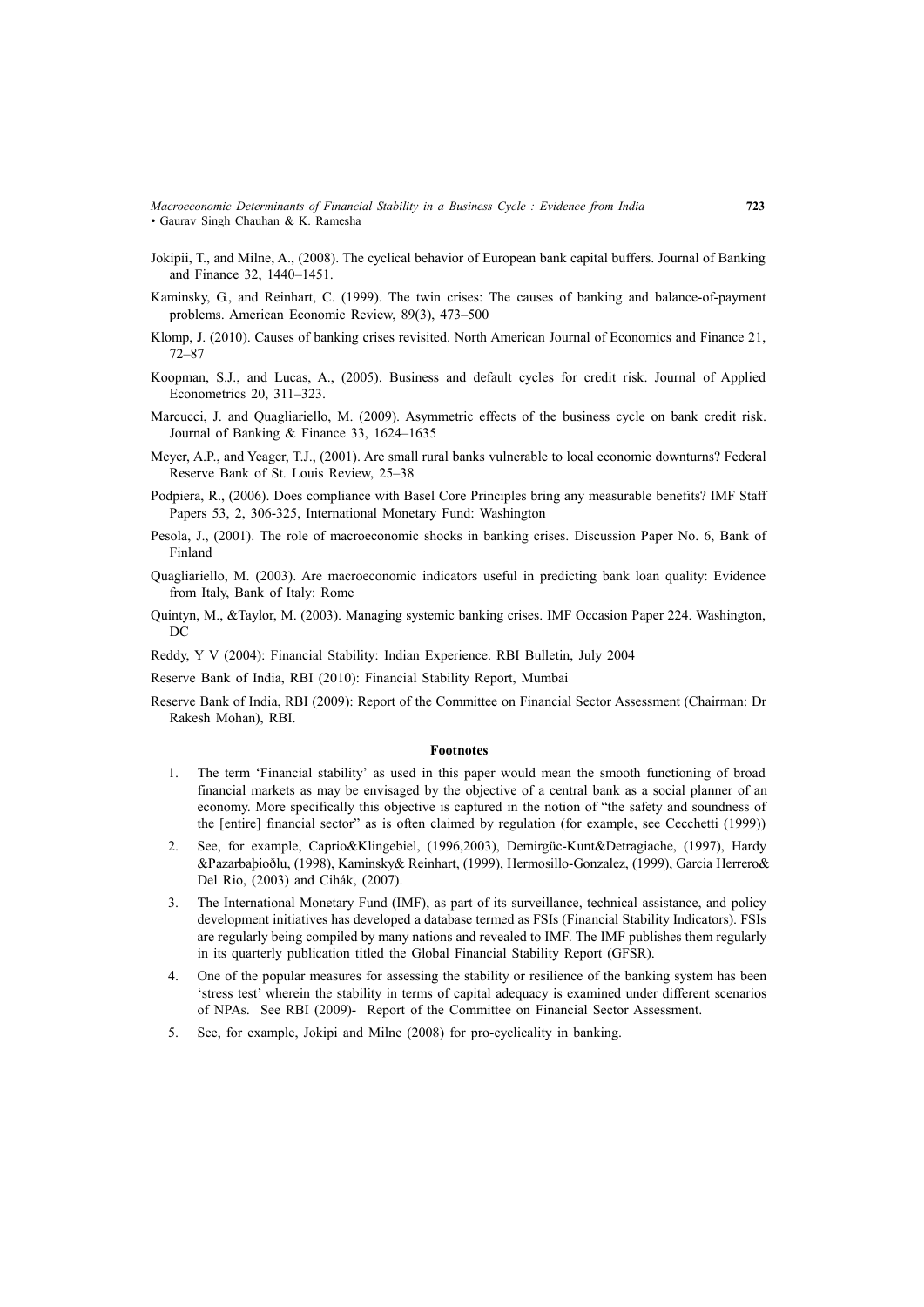*Macroeconomic Determinants of Financial Stability in a Business Cycle : Evidence from India* **723** *•* Gaurav Singh Chauhan & K. Ramesha

- Jokipii, T., and Milne, A., (2008). The cyclical behavior of European bank capital buffers. Journal of Banking and Finance 32, 1440–1451.
- Kaminsky, G., and Reinhart, C. (1999). The twin crises: The causes of banking and balance-of-payment problems. American Economic Review, 89(3), 473–500
- Klomp, J. (2010). Causes of banking crises revisited. North American Journal of Economics and Finance 21, 72–87
- Koopman, S.J., and Lucas, A., (2005). Business and default cycles for credit risk. Journal of Applied Econometrics 20, 311–323.
- Marcucci, J. and Quagliariello, M. (2009). Asymmetric effects of the business cycle on bank credit risk. Journal of Banking & Finance 33, 1624–1635
- Meyer, A.P., and Yeager, T.J., (2001). Are small rural banks vulnerable to local economic downturns? Federal Reserve Bank of St. Louis Review, 25–38
- Podpiera, R., (2006). Does compliance with Basel Core Principles bring any measurable benefits? IMF Staff Papers 53, 2, 306-325, International Monetary Fund: Washington
- Pesola, J., (2001). The role of macroeconomic shocks in banking crises. Discussion Paper No. 6, Bank of Finland
- Quagliariello, M. (2003). Are macroeconomic indicators useful in predicting bank loan quality: Evidence from Italy, Bank of Italy: Rome
- Quintyn, M., &Taylor, M. (2003). Managing systemic banking crises. IMF Occasion Paper 224. Washington, DC

Reddy, Y V (2004): Financial Stability: Indian Experience. RBI Bulletin, July 2004

- Reserve Bank of India, RBI (2010): Financial Stability Report, Mumbai
- Reserve Bank of India, RBI (2009): Report of the Committee on Financial Sector Assessment (Chairman: Dr Rakesh Mohan), RBI.

#### **Footnotes**

- 1. The term 'Financial stability' as used in this paper would mean the smooth functioning of broad financial markets as may be envisaged by the objective of a central bank as a social planner of an economy. More specifically this objective is captured in the notion of "the safety and soundness of the [entire] financial sector" as is often claimed by regulation (for example, see Cecchetti (1999))
- 2. See, for example, Caprio&Klingebiel, (1996,2003), Demirgüc-Kunt&Detragiache, (1997), Hardy &Pazarbaþioðlu, (1998), Kaminsky& Reinhart, (1999), Hermosillo-Gonzalez, (1999), Garcia Herrero& Del Rio, (2003) and Cihák, (2007).
- 3. The International Monetary Fund (IMF), as part of its surveillance, technical assistance, and policy development initiatives has developed a database termed as FSIs (Financial Stability Indicators). FSIs are regularly being compiled by many nations and revealed to IMF. The IMF publishes them regularly in its quarterly publication titled the Global Financial Stability Report (GFSR).
- 4. One of the popular measures for assessing the stability or resilience of the banking system has been 'stress test' wherein the stability in terms of capital adequacy is examined under different scenarios of NPAs. See RBI (2009)- Report of the Committee on Financial Sector Assessment.
- 5. See, for example, Jokipi and Milne (2008) for pro-cyclicality in banking.